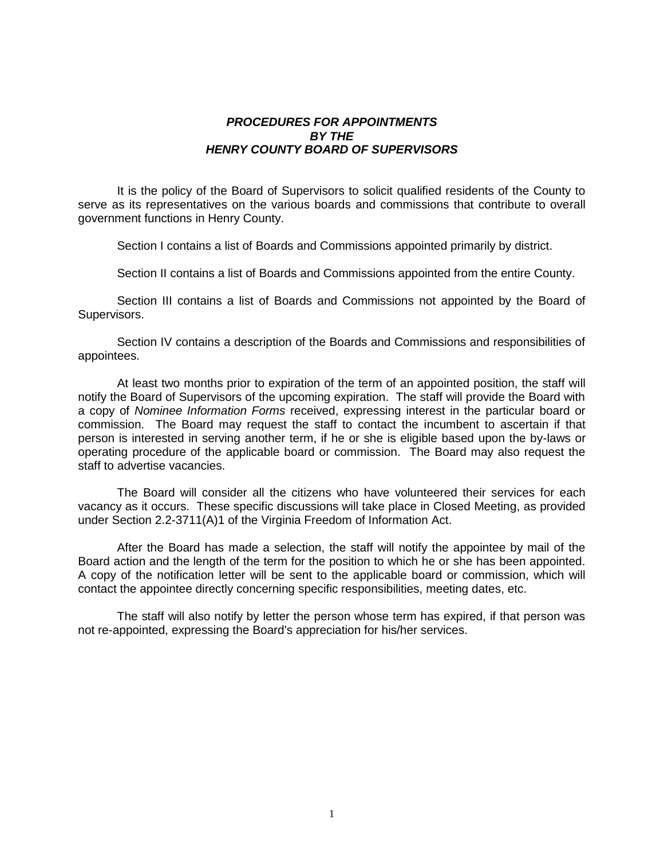#### *PROCEDURES FOR APPOINTMENTS BY THE HENRY COUNTY BOARD OF SUPERVISORS*

It is the policy of the Board of Supervisors to solicit qualified residents of the County to serve as its representatives on the various boards and commissions that contribute to overall government functions in Henry County.

Section I contains a list of Boards and Commissions appointed primarily by district.

Section II contains a list of Boards and Commissions appointed from the entire County.

Section III contains a list of Boards and Commissions not appointed by the Board of Supervisors.

Section IV contains a description of the Boards and Commissions and responsibilities of appointees.

At least two months prior to expiration of the term of an appointed position, the staff will notify the Board of Supervisors of the upcoming expiration. The staff will provide the Board with a copy of *Nominee Information Forms* received, expressing interest in the particular board or commission. The Board may request the staff to contact the incumbent to ascertain if that person is interested in serving another term, if he or she is eligible based upon the by-laws or operating procedure of the applicable board or commission. The Board may also request the staff to advertise vacancies.

The Board will consider all the citizens who have volunteered their services for each vacancy as it occurs. These specific discussions will take place in Closed Meeting, as provided under Section 2.2-3711(A)1 of the Virginia Freedom of Information Act.

After the Board has made a selection, the staff will notify the appointee by mail of the Board action and the length of the term for the position to which he or she has been appointed. A copy of the notification letter will be sent to the applicable board or commission, which will contact the appointee directly concerning specific responsibilities, meeting dates, etc.

The staff will also notify by letter the person whose term has expired, if that person was not re-appointed, expressing the Board's appreciation for his/her services.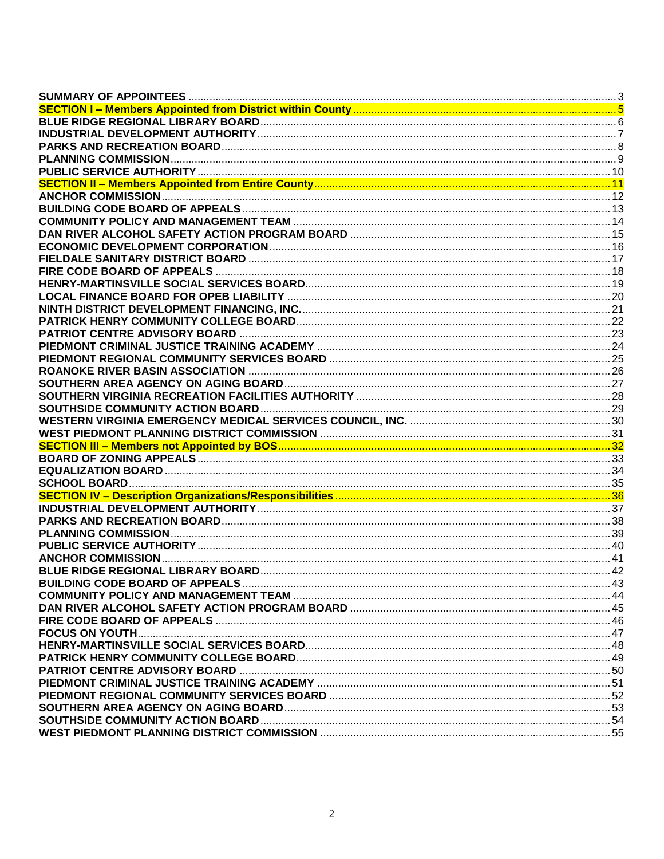| SECTION I – Members Appointed from District within County ……………………………………………………………………………………5 |  |
|---------------------------------------------------------------------------------------------|--|
|                                                                                             |  |
|                                                                                             |  |
|                                                                                             |  |
|                                                                                             |  |
|                                                                                             |  |
|                                                                                             |  |
|                                                                                             |  |
|                                                                                             |  |
|                                                                                             |  |
|                                                                                             |  |
|                                                                                             |  |
|                                                                                             |  |
|                                                                                             |  |
|                                                                                             |  |
|                                                                                             |  |
|                                                                                             |  |
|                                                                                             |  |
|                                                                                             |  |
|                                                                                             |  |
|                                                                                             |  |
|                                                                                             |  |
|                                                                                             |  |
|                                                                                             |  |
|                                                                                             |  |
|                                                                                             |  |
|                                                                                             |  |
|                                                                                             |  |
|                                                                                             |  |
|                                                                                             |  |
|                                                                                             |  |
|                                                                                             |  |
|                                                                                             |  |
|                                                                                             |  |
|                                                                                             |  |
|                                                                                             |  |
|                                                                                             |  |
|                                                                                             |  |
|                                                                                             |  |
|                                                                                             |  |
|                                                                                             |  |
|                                                                                             |  |
|                                                                                             |  |
|                                                                                             |  |
|                                                                                             |  |
|                                                                                             |  |
|                                                                                             |  |
|                                                                                             |  |
|                                                                                             |  |
|                                                                                             |  |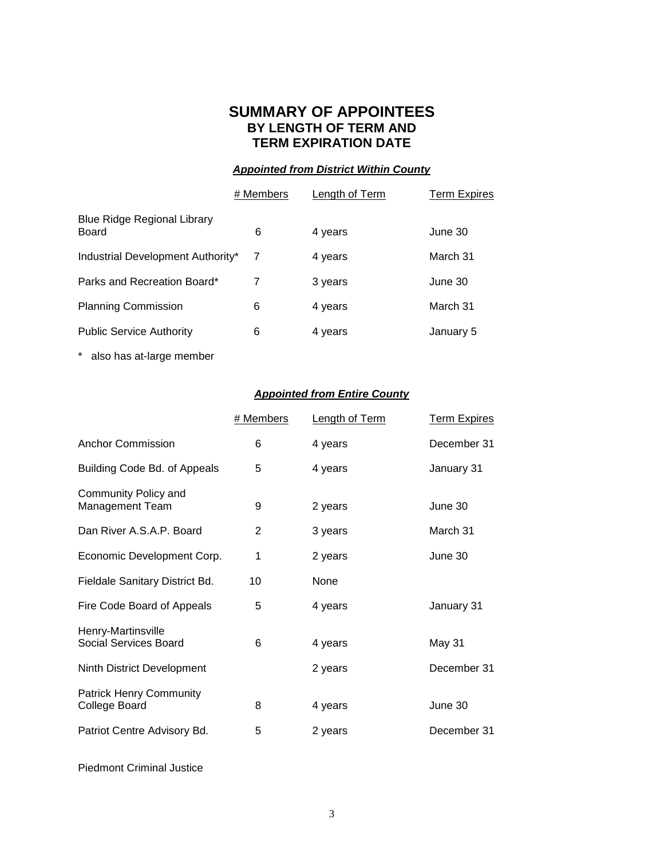#### **SUMMARY OF APPOINTEES BY LENGTH OF TERM AND TERM EXPIRATION DATE**

#### *Appointed from District Within County*

<span id="page-2-0"></span>

|                                      | # Members | Length of Term | <b>Term Expires</b> |
|--------------------------------------|-----------|----------------|---------------------|
| Blue Ridge Regional Library<br>Board | 6         | 4 years        | June 30             |
| Industrial Development Authority*    | 7         | 4 years        | March 31            |
| Parks and Recreation Board*          | 7         | 3 years        | June 30             |
| <b>Planning Commission</b>           | 6         | 4 years        | March 31            |
| <b>Public Service Authority</b>      | 6         | 4 years        | January 5           |
|                                      |           |                |                     |

\* also has at-large member

#### *Appointed from Entire County*

|                                                 | # Members | <b>Length of Term</b> | <b>Term Expires</b> |
|-------------------------------------------------|-----------|-----------------------|---------------------|
| <b>Anchor Commission</b>                        | 6         | 4 years               | December 31         |
| Building Code Bd. of Appeals                    | 5         | 4 years               | January 31          |
| Community Policy and<br><b>Management Team</b>  | 9         | 2 years               | June 30             |
| Dan River A.S.A.P. Board                        | 2         | 3 years               | March 31            |
| Economic Development Corp.                      | 1         | 2 years               | June 30             |
| Fieldale Sanitary District Bd.                  | 10        | None                  |                     |
| Fire Code Board of Appeals                      | 5         | 4 years               | January 31          |
| Henry-Martinsville<br>Social Services Board     | 6         | 4 years               | May 31              |
| Ninth District Development                      |           | 2 years               | December 31         |
| <b>Patrick Henry Community</b><br>College Board | 8         | 4 years               | June 30             |
| Patriot Centre Advisory Bd.                     | 5         | 2 years               | December 31         |

Piedmont Criminal Justice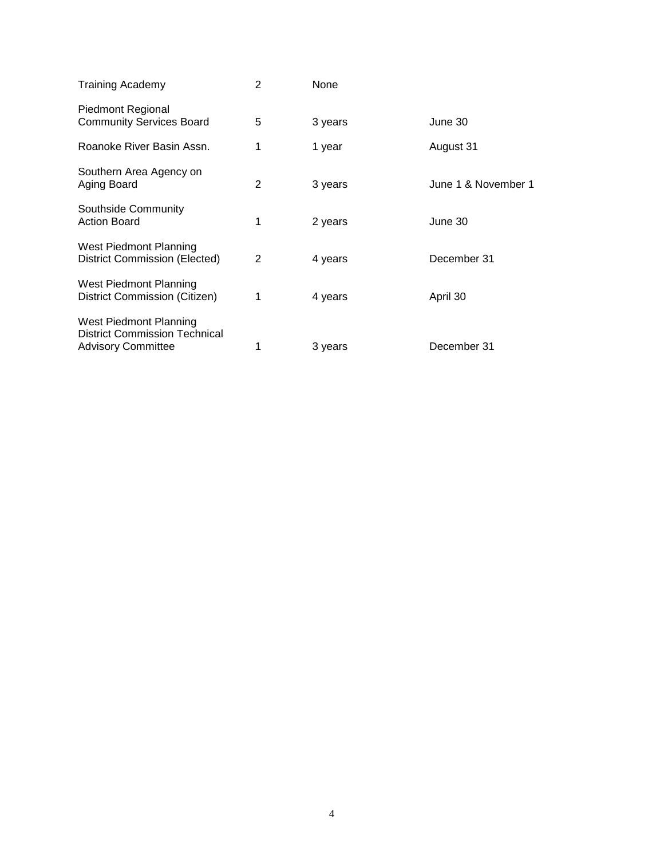| <b>Training Academy</b>                                                                     | 2 | None    |                     |
|---------------------------------------------------------------------------------------------|---|---------|---------------------|
| <b>Piedmont Regional</b><br><b>Community Services Board</b>                                 | 5 | 3 years | June 30             |
| Roanoke River Basin Assn.                                                                   | 1 | 1 year  | August 31           |
| Southern Area Agency on<br>Aging Board                                                      | 2 | 3 years | June 1 & November 1 |
| Southside Community<br><b>Action Board</b>                                                  | 1 | 2 years | June 30             |
| West Piedmont Planning<br>District Commission (Elected)                                     | 2 | 4 years | December 31         |
| West Piedmont Planning<br>District Commission (Citizen)                                     | 1 | 4 years | April 30            |
| West Piedmont Planning<br><b>District Commission Technical</b><br><b>Advisory Committee</b> |   | 3 years | December 31         |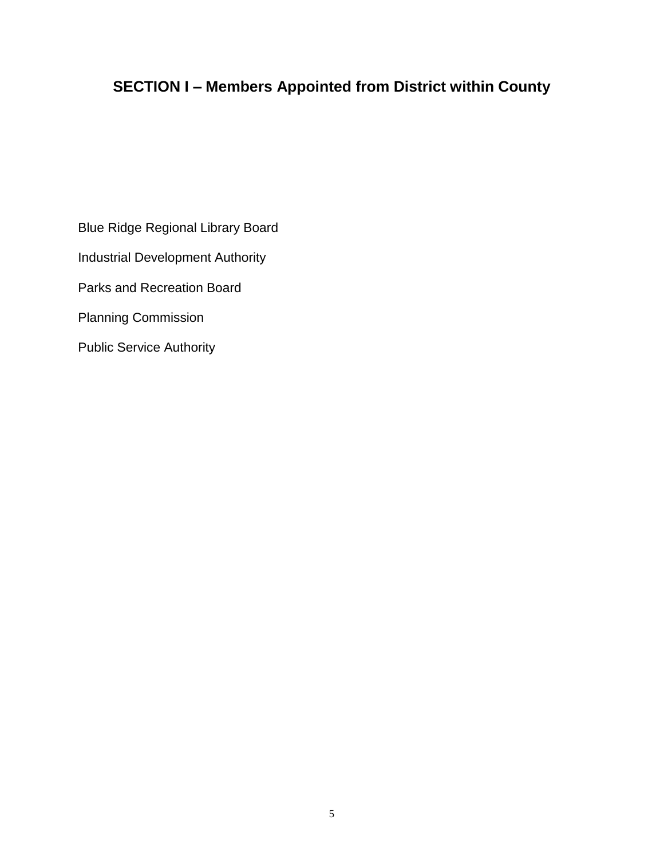# <span id="page-4-0"></span>**SECTION I – Members Appointed from District within County**

Blue Ridge Regional Library Board Industrial Development Authority Parks and Recreation Board Planning Commission Public Service Authority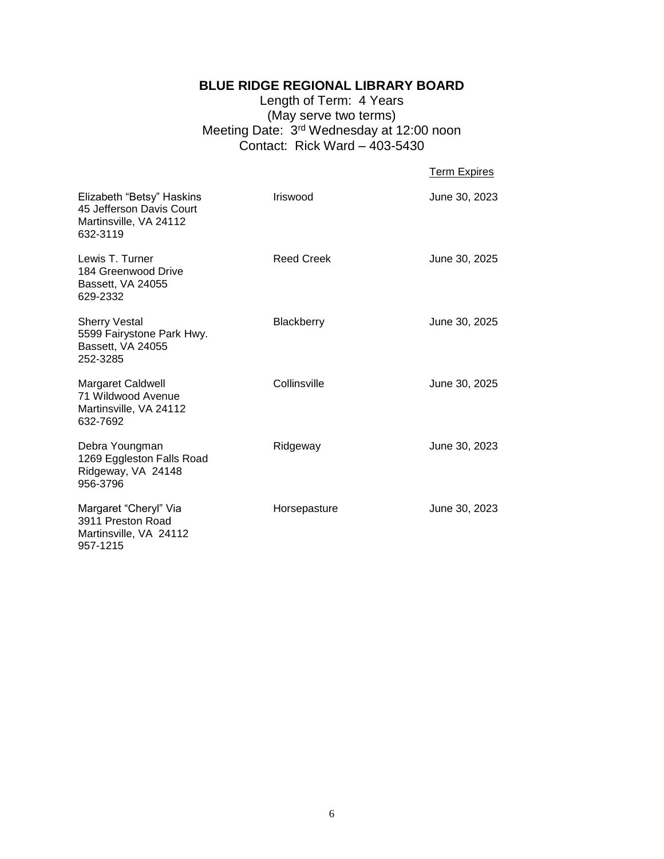#### **BLUE RIDGE REGIONAL LIBRARY BOARD**

Length of Term: 4 Years (May serve two terms) Meeting Date: 3<sup>rd</sup> Wednesday at 12:00 noon Contact: Rick Ward  $-$  403-5430

<span id="page-5-0"></span>

| <b>Term Expires</b> |
|---------------------|
|                     |

| Elizabeth "Betsy" Haskins<br>45 Jefferson Davis Court<br>Martinsville, VA 24112<br>632-3119 | Iriswood          | June 30, 2023 |
|---------------------------------------------------------------------------------------------|-------------------|---------------|
| Lewis T. Turner<br>184 Greenwood Drive<br>Bassett, VA 24055<br>629-2332                     | <b>Reed Creek</b> | June 30, 2025 |
| <b>Sherry Vestal</b><br>5599 Fairystone Park Hwy.<br>Bassett, VA 24055<br>252-3285          | Blackberry        | June 30, 2025 |
| Margaret Caldwell<br>71 Wildwood Avenue<br>Martinsville, VA 24112<br>632-7692               | Collinsville      | June 30, 2025 |
| Debra Youngman<br>1269 Eggleston Falls Road<br>Ridgeway, VA 24148<br>956-3796               | Ridgeway          | June 30, 2023 |
| Margaret "Cheryl" Via<br>3911 Preston Road<br>Martinsville, VA 24112<br>957-1215            | Horsepasture      | June 30, 2023 |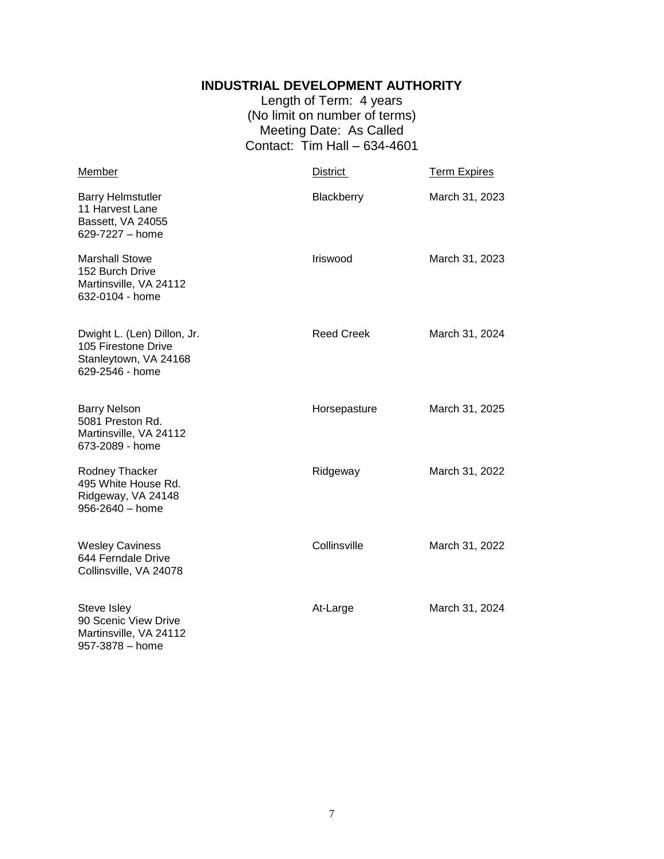#### **INDUSTRIAL DEVELOPMENT AUTHORITY**

Length of Term: 4 years (No limit on number of terms) Meeting Date: As Called Contact: Tim Hall – 634-4601

<span id="page-6-0"></span>

| Member                                                                                         | District          | <b>Term Expires</b> |
|------------------------------------------------------------------------------------------------|-------------------|---------------------|
| <b>Barry Helmstutler</b><br>11 Harvest Lane<br>Bassett, VA 24055<br>629-7227 - home            | Blackberry        | March 31, 2023      |
| <b>Marshall Stowe</b><br>152 Burch Drive<br>Martinsville, VA 24112<br>632-0104 - home          | Iriswood          | March 31, 2023      |
| Dwight L. (Len) Dillon, Jr.<br>105 Firestone Drive<br>Stanleytown, VA 24168<br>629-2546 - home | <b>Reed Creek</b> | March 31, 2024      |
| <b>Barry Nelson</b><br>5081 Preston Rd.<br>Martinsville, VA 24112<br>673-2089 - home           | Horsepasture      | March 31, 2025      |
| Rodney Thacker<br>495 White House Rd.<br>Ridgeway, VA 24148<br>956-2640 - home                 | Ridgeway          | March 31, 2022      |
| <b>Wesley Caviness</b><br>644 Ferndale Drive<br>Collinsville, VA 24078                         | Collinsville      | March 31, 2022      |
| Steve Isley<br>90 Scenic View Drive<br>Martinsville, VA 24112<br>957-3878 – home               | At-Large          | March 31, 2024      |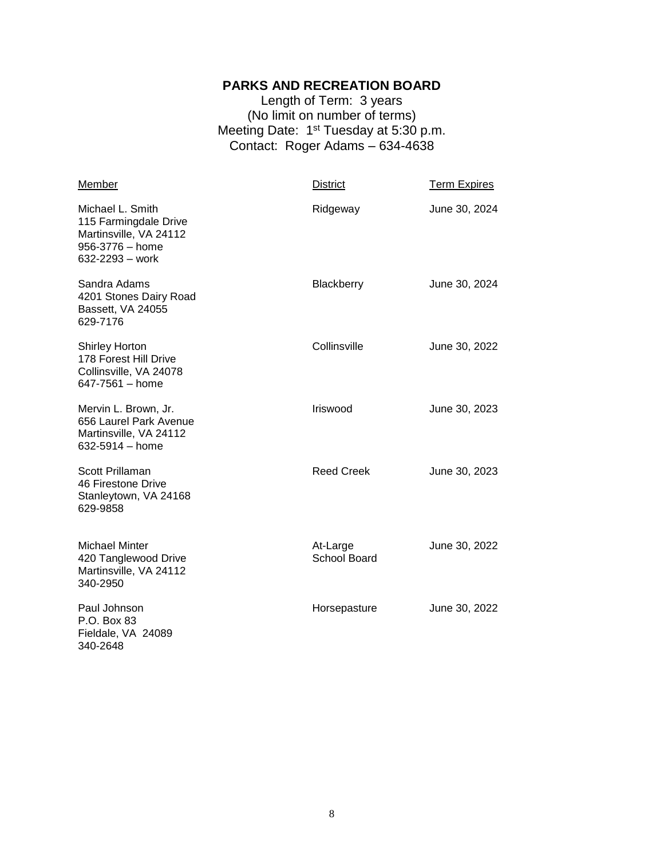#### **PARKS AND RECREATION BOARD**

Length of Term: 3 years (No limit on number of terms) Meeting Date: 1<sup>st</sup> Tuesday at 5:30 p.m. Contact: Roger Adams – 634-4638

<span id="page-7-0"></span>

| Member                                                                                                    | <b>District</b>                 | <b>Term Expires</b> |
|-----------------------------------------------------------------------------------------------------------|---------------------------------|---------------------|
| Michael L. Smith<br>115 Farmingdale Drive<br>Martinsville, VA 24112<br>956-3776 - home<br>632-2293 - work | Ridgeway                        | June 30, 2024       |
| Sandra Adams<br>4201 Stones Dairy Road<br>Bassett, VA 24055<br>629-7176                                   | Blackberry                      | June 30, 2024       |
| <b>Shirley Horton</b><br>178 Forest Hill Drive<br>Collinsville, VA 24078<br>647-7561 - home               | Collinsville                    | June 30, 2022       |
| Mervin L. Brown, Jr.<br>656 Laurel Park Avenue<br>Martinsville, VA 24112<br>632-5914 - home               | Iriswood                        | June 30, 2023       |
| Scott Prillaman<br>46 Firestone Drive<br>Stanleytown, VA 24168<br>629-9858                                | <b>Reed Creek</b>               | June 30, 2023       |
| <b>Michael Minter</b><br>420 Tanglewood Drive<br>Martinsville, VA 24112<br>340-2950                       | At-Large<br><b>School Board</b> | June 30, 2022       |
| Paul Johnson<br>P.O. Box 83<br>Fieldale, VA 24089<br>340-2648                                             | Horsepasture                    | June 30, 2022       |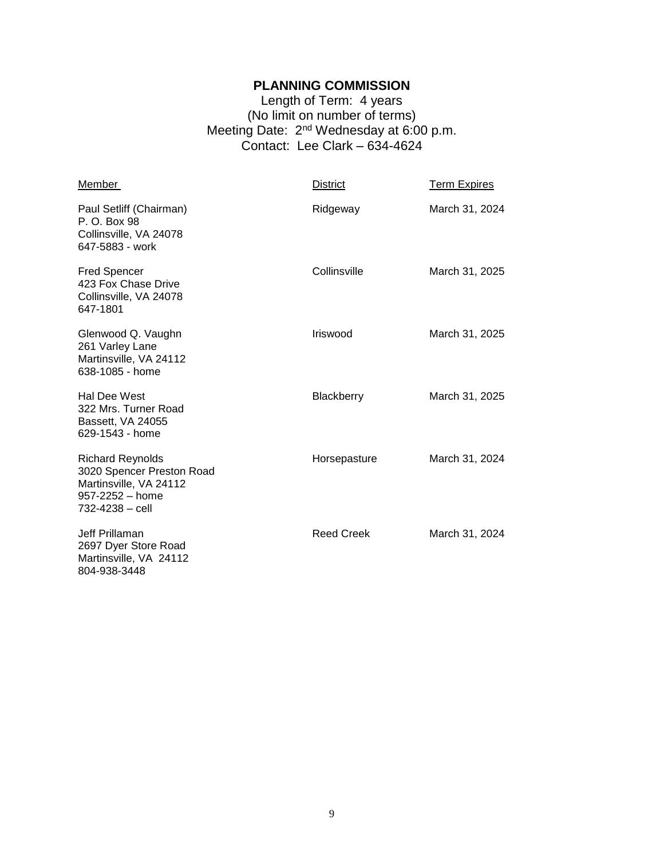#### **PLANNING COMMISSION**

Length of Term: 4 years (No limit on number of terms) Meeting Date: 2<sup>nd</sup> Wednesday at 6:00 p.m. Contact: Lee Clark – 634-4624

<span id="page-8-0"></span>

| Member                                                                                                               | <b>District</b>   | <b>Term Expires</b> |
|----------------------------------------------------------------------------------------------------------------------|-------------------|---------------------|
| Paul Setliff (Chairman)<br>P. O. Box 98<br>Collinsville, VA 24078<br>647-5883 - work                                 | Ridgeway          | March 31, 2024      |
| <b>Fred Spencer</b><br>423 Fox Chase Drive<br>Collinsville, VA 24078<br>647-1801                                     | Collinsville      | March 31, 2025      |
| Glenwood Q. Vaughn<br>261 Varley Lane<br>Martinsville, VA 24112<br>638-1085 - home                                   | <b>Iriswood</b>   | March 31, 2025      |
| Hal Dee West<br>322 Mrs. Turner Road<br>Bassett, VA 24055<br>629-1543 - home                                         | <b>Blackberry</b> | March 31, 2025      |
| <b>Richard Reynolds</b><br>3020 Spencer Preston Road<br>Martinsville, VA 24112<br>957-2252 - home<br>732-4238 - cell | Horsepasture      | March 31, 2024      |
| Jeff Prillaman<br>2697 Dyer Store Road<br>Martinsville, VA 24112<br>804-938-3448                                     | <b>Reed Creek</b> | March 31, 2024      |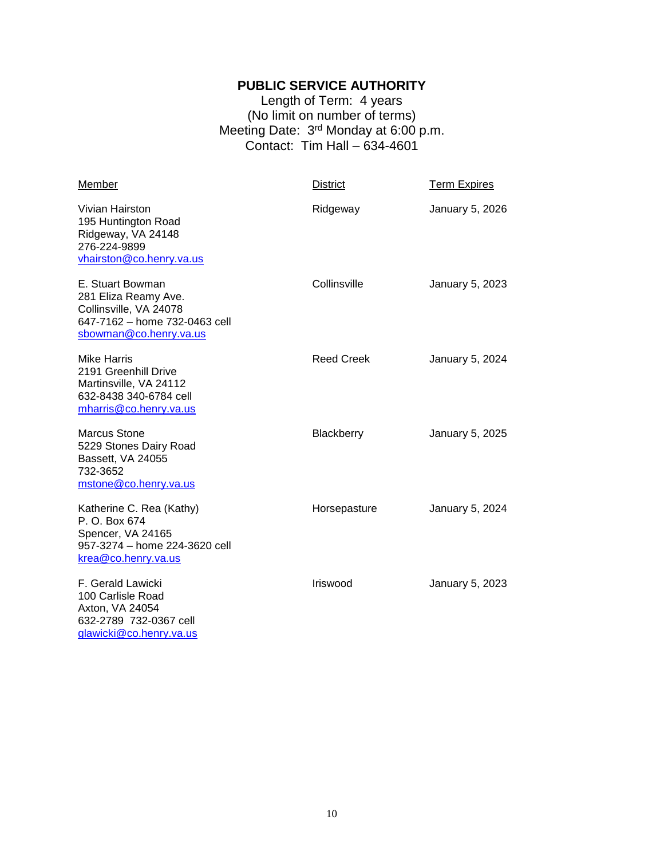#### **PUBLIC SERVICE AUTHORITY**

Length of Term: 4 years (No limit on number of terms) Meeting Date: 3<sup>rd</sup> Monday at 6:00 p.m. Contact: Tim Hall – 634-4601

<span id="page-9-0"></span>

| Member                                                                                                                        | <b>District</b>   | <b>Term Expires</b> |
|-------------------------------------------------------------------------------------------------------------------------------|-------------------|---------------------|
| Vivian Hairston<br>195 Huntington Road<br>Ridgeway, VA 24148<br>276-224-9899<br>vhairston@co.henry.va.us                      | Ridgeway          | January 5, 2026     |
| E. Stuart Bowman<br>281 Eliza Reamy Ave.<br>Collinsville, VA 24078<br>647-7162 - home 732-0463 cell<br>sbowman@co.henry.va.us | Collinsville      | January 5, 2023     |
| <b>Mike Harris</b><br>2191 Greenhill Drive<br>Martinsville, VA 24112<br>632-8438 340-6784 cell<br>mharris@co.henry.va.us      | <b>Reed Creek</b> | January 5, 2024     |
| <b>Marcus Stone</b><br>5229 Stones Dairy Road<br>Bassett, VA 24055<br>732-3652<br>mstone@co.henry.va.us                       | Blackberry        | January 5, 2025     |
| Katherine C. Rea (Kathy)<br>P. O. Box 674<br>Spencer, VA 24165<br>957-3274 - home 224-3620 cell<br>krea@co.henry.va.us        | Horsepasture      | January 5, 2024     |
| F. Gerald Lawicki<br>100 Carlisle Road<br>Axton, VA 24054<br>632-2789 732-0367 cell<br>glawicki@co.henry.va.us                | Iriswood          | January 5, 2023     |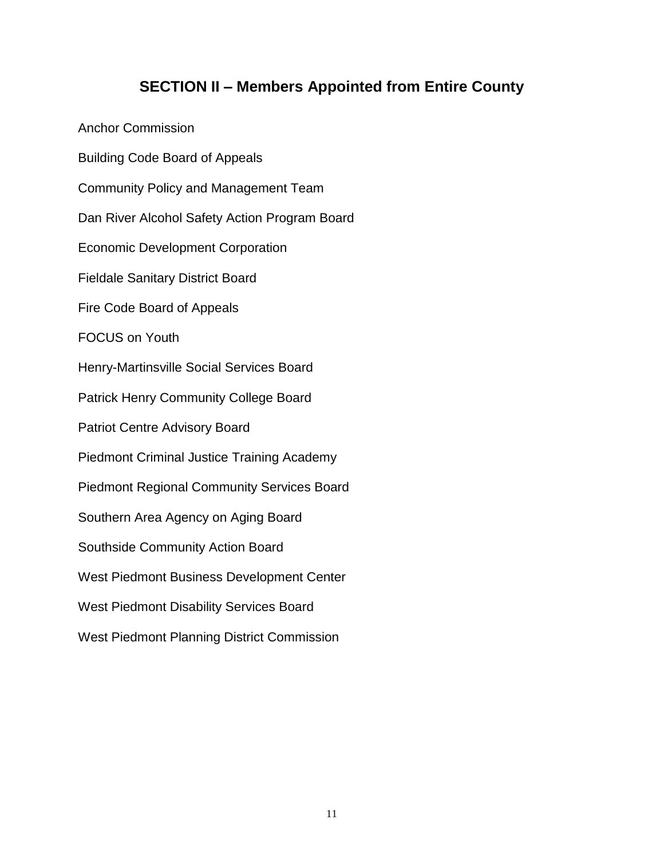## **SECTION II – Members Appointed from Entire County**

<span id="page-10-0"></span>Anchor Commission Building Code Board of Appeals Community Policy and Management Team Dan River Alcohol Safety Action Program Board Economic Development Corporation Fieldale Sanitary District Board Fire Code Board of Appeals FOCUS on Youth Henry-Martinsville Social Services Board Patrick Henry Community College Board Patriot Centre Advisory Board Piedmont Criminal Justice Training Academy Piedmont Regional Community Services Board Southern Area Agency on Aging Board Southside Community Action Board West Piedmont Business Development Center West Piedmont Disability Services Board West Piedmont Planning District Commission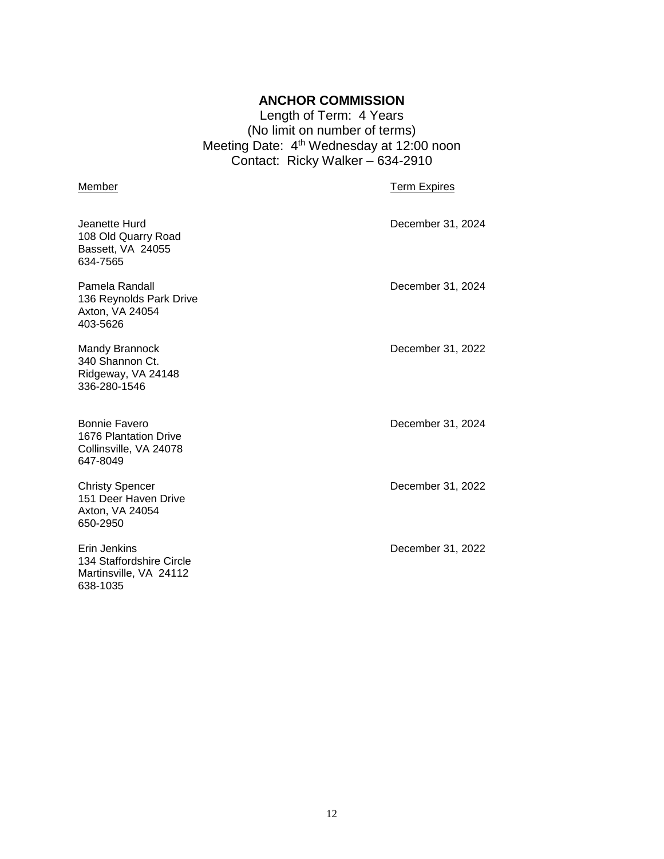#### **ANCHOR COMMISSION**

Length of Term: 4 Years (No limit on number of terms) Meeting Date: 4<sup>th</sup> Wednesday at 12:00 noon Contact: Ricky Walker – 634-2910

#### <span id="page-11-0"></span>Member **Member Member** Term Expires

| Jeanette Hurd<br>108 Old Quarry Road<br>Bassett, VA 24055<br>634-7565          | December 31, 2024 |
|--------------------------------------------------------------------------------|-------------------|
| Pamela Randall<br>136 Reynolds Park Drive<br>Axton, VA 24054<br>403-5626       | December 31, 2024 |
| <b>Mandy Brannock</b><br>340 Shannon Ct.<br>Ridgeway, VA 24148<br>336-280-1546 | December 31, 2022 |
| Bonnie Favero<br>1676 Plantation Drive<br>Collinsville, VA 24078<br>647-8049   | December 31, 2024 |
| <b>Christy Spencer</b><br>151 Deer Haven Drive<br>Axton, VA 24054<br>650-2950  | December 31, 2022 |
| Erin Jenkins<br>134 Staffordshire Circle<br>Martinsville, VA 24112<br>638-1035 | December 31, 2022 |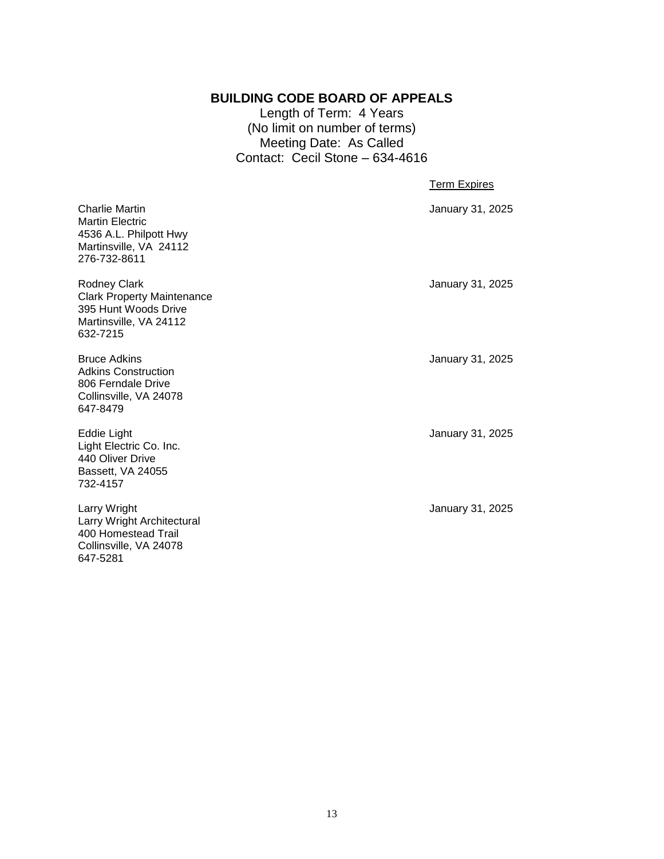#### **BUILDING CODE BOARD OF APPEALS**

Length of Term: 4 Years (No limit on number of terms) Meeting Date: As Called Contact: Cecil Stone – 634-4616

#### Term Expires

<span id="page-12-0"></span>

| <b>Charlie Martin</b><br><b>Martin Electric</b><br>4536 A.L. Philpott Hwy<br>Martinsville, VA 24112<br>276-732-8611 | January 31, 2025 |
|---------------------------------------------------------------------------------------------------------------------|------------------|
| Rodney Clark<br><b>Clark Property Maintenance</b><br>395 Hunt Woods Drive<br>Martinsville, VA 24112<br>632-7215     | January 31, 2025 |
| <b>Bruce Adkins</b><br><b>Adkins Construction</b><br>806 Ferndale Drive<br>Collinsville, VA 24078<br>647-8479       | January 31, 2025 |
| Eddie Light<br>Light Electric Co. Inc.<br>440 Oliver Drive<br>Bassett, VA 24055<br>732-4157                         | January 31, 2025 |
| Larry Wright<br>Larry Wright Architectural                                                                          | January 31, 2025 |

400 Homestead Trail Collinsville, VA 24078

647-5281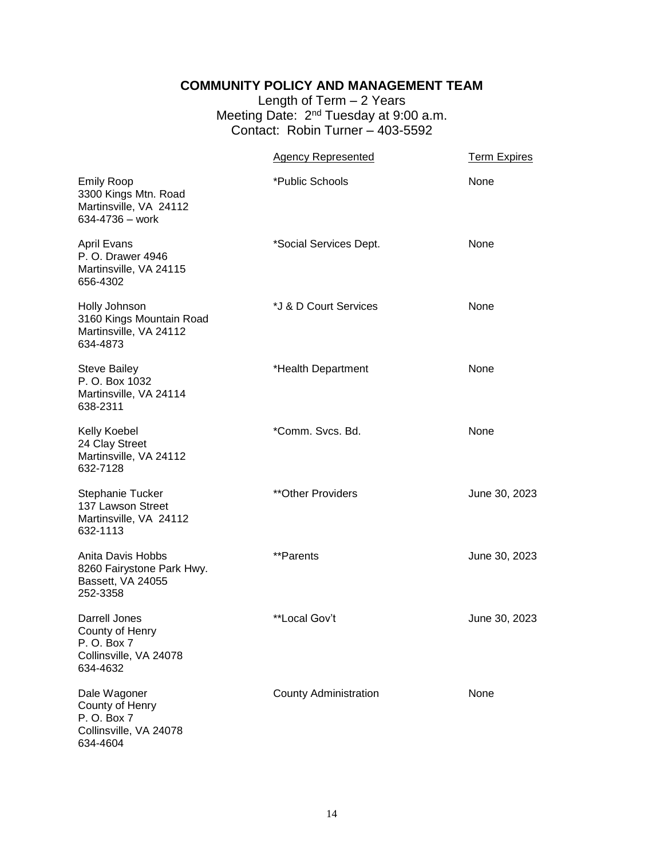#### **COMMUNITY POLICY AND MANAGEMENT TEAM**

Length of Term – 2 Years Meeting Date: 2<sup>nd</sup> Tuesday at 9:00 a.m. Contact: Robin Turner – 403-5592

<span id="page-13-0"></span>

|                                                                                        | <b>Agency Represented</b>    | <b>Term Expires</b> |
|----------------------------------------------------------------------------------------|------------------------------|---------------------|
| <b>Emily Roop</b><br>3300 Kings Mtn. Road<br>Martinsville, VA 24112<br>634-4736 - work | *Public Schools              | None                |
| <b>April Evans</b><br>P. O. Drawer 4946<br>Martinsville, VA 24115<br>656-4302          | *Social Services Dept.       | None                |
| Holly Johnson<br>3160 Kings Mountain Road<br>Martinsville, VA 24112<br>634-4873        | *J & D Court Services        | None                |
| <b>Steve Bailey</b><br>P. O. Box 1032<br>Martinsville, VA 24114<br>638-2311            | *Health Department           | None                |
| Kelly Koebel<br>24 Clay Street<br>Martinsville, VA 24112<br>632-7128                   | *Comm. Svcs. Bd.             | None                |
| Stephanie Tucker<br>137 Lawson Street<br>Martinsville, VA 24112<br>632-1113            | **Other Providers            | June 30, 2023       |
| Anita Davis Hobbs<br>8260 Fairystone Park Hwy.<br>Bassett, VA 24055<br>252-3358        | **Parents                    | June 30, 2023       |
| Darrell Jones<br>County of Henry<br>P. O. Box 7<br>Collinsville, VA 24078<br>634-4632  | **Local Gov't                | June 30, 2023       |
| Dale Wagoner<br>County of Henry<br>P. O. Box 7<br>Collinsville, VA 24078<br>634-4604   | <b>County Administration</b> | None                |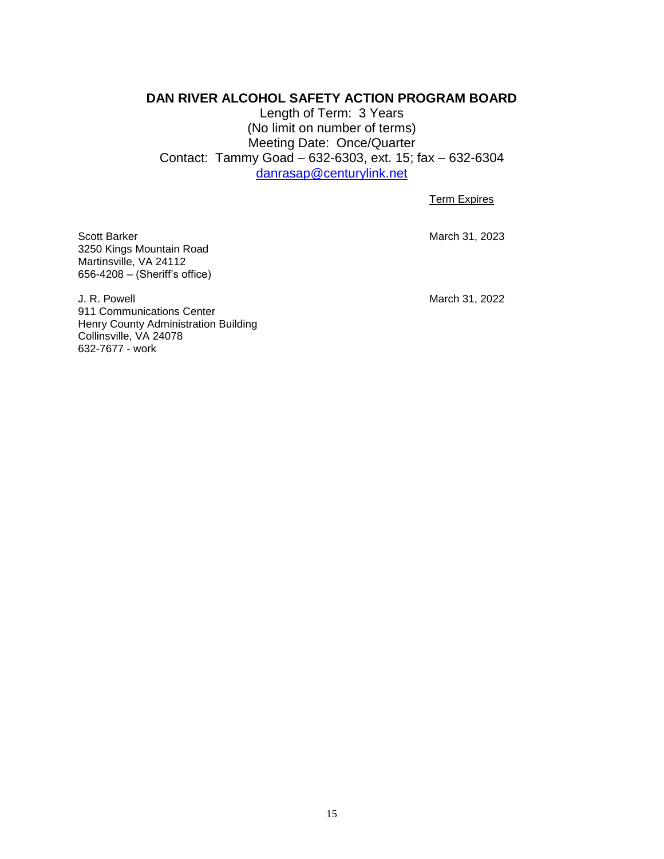#### <span id="page-14-0"></span>**DAN RIVER ALCOHOL SAFETY ACTION PROGRAM BOARD**

Length of Term: 3 Years (No limit on number of terms) Meeting Date: Once/Quarter Contact: Tammy Goad – 632-6303, ext. 15; fax – 632-6304 [danrasap@centurylink.net](mailto:danrasap@centurylink.net)

Term Expires

Scott Barker March 31, 2023 3250 Kings Mountain Road Martinsville, VA 24112 656-4208 – (Sheriff's office)

J. R. Powell **March 31, 2022** 911 Communications Center Henry County Administration Building Collinsville, VA 24078 632-7677 - work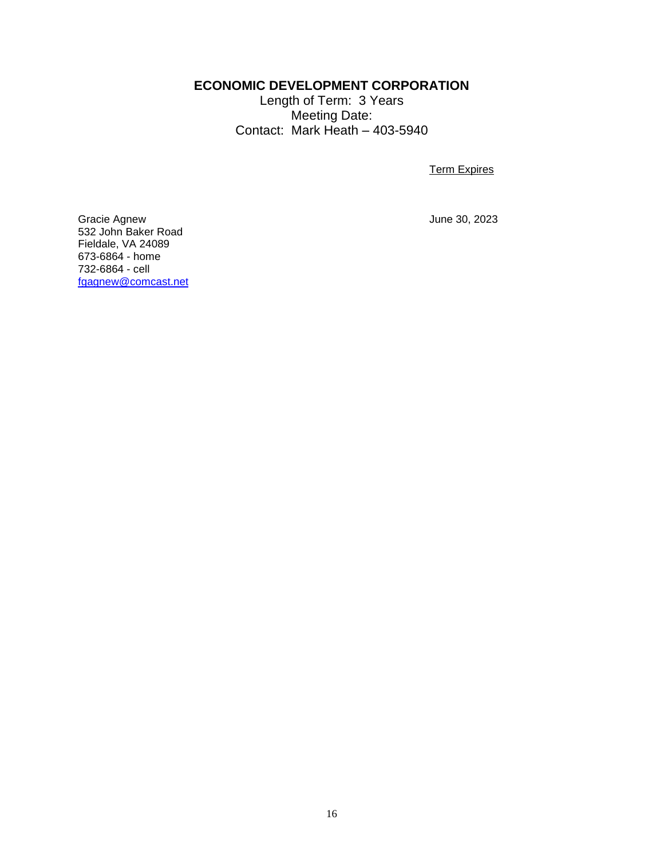#### **ECONOMIC DEVELOPMENT CORPORATION**

Length of Term: 3 Years Meeting Date: Contact: Mark Heath – 403-5940

Term Expires

<span id="page-15-0"></span>Gracie Agnew **Gracie Agnew** June 30, 2023 532 John Baker Road Fieldale, VA 24089 673-6864 - home 732-6864 - cell [fgagnew@comcast.net](mailto:fgagnew@comcast.net)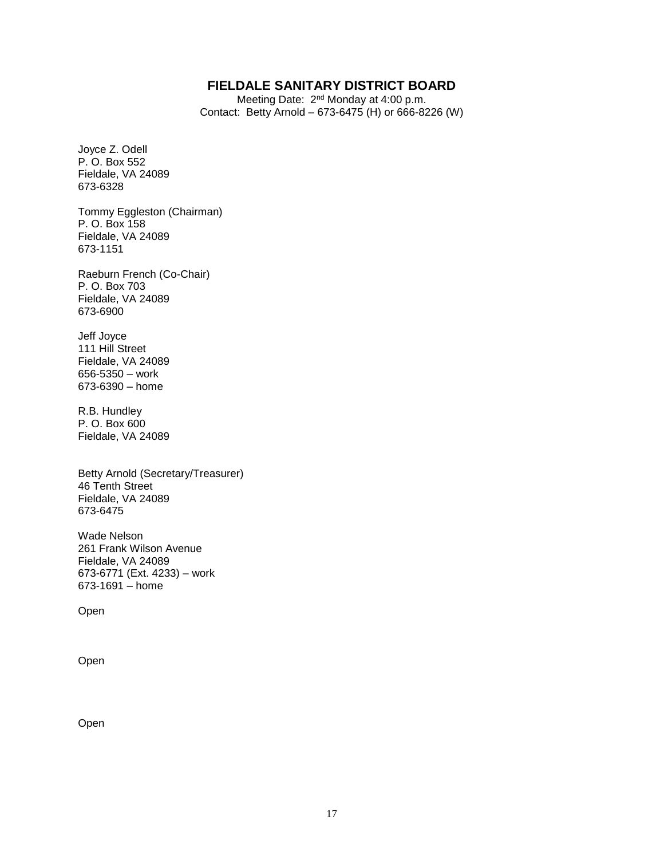#### **FIELDALE SANITARY DISTRICT BOARD**

Meeting Date: 2<sup>nd</sup> Monday at 4:00 p.m. Contact: Betty Arnold – 673-6475 (H) or 666-8226 (W)

<span id="page-16-0"></span>Joyce Z. Odell P. O. Box 552 Fieldale, VA 24089 673-6328

Tommy Eggleston (Chairman) P. O. Box 158 Fieldale, VA 24089 673-1151

Raeburn French (Co-Chair) P. O. Box 703 Fieldale, VA 24089 673-6900

Jeff Joyce 111 Hill Street Fieldale, VA 24089 656-5350 – work 673-6390 – home

R.B. Hundley P. O. Box 600 Fieldale, VA 24089

Betty Arnold (Secretary/Treasurer) 46 Tenth Street Fieldale, VA 24089 673-6475

Wade Nelson 261 Frank Wilson Avenue Fieldale, VA 24089 673-6771 (Ext. 4233) – work 673-1691 – home

Open

Open

Open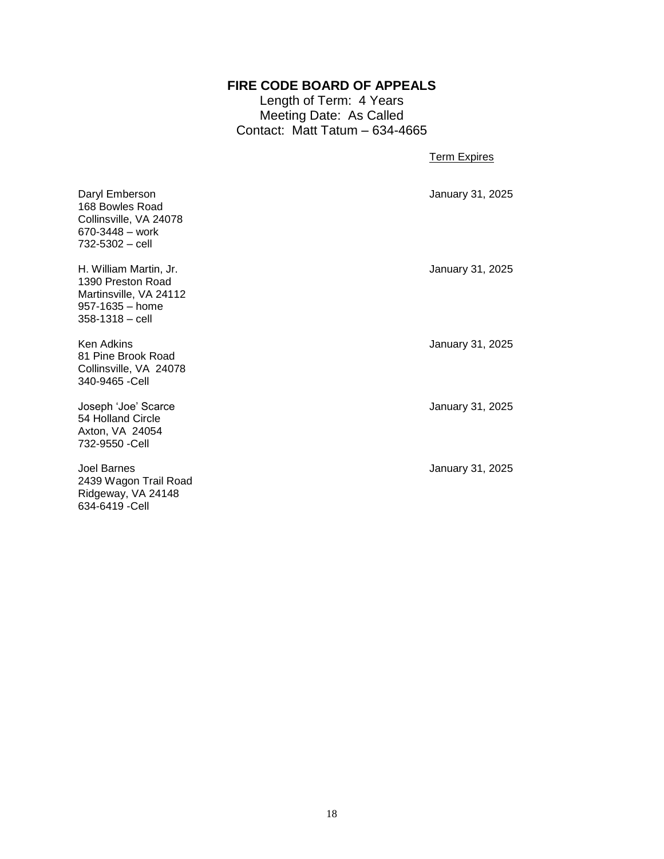#### **FIRE CODE BOARD OF APPEALS**

Length of Term: 4 Years Meeting Date: As Called Contact: Matt Tatum – 634-4665

Term Expires

<span id="page-17-0"></span>

| Daryl Emberson<br>168 Bowles Road<br>Collinsville, VA 24078<br>670-3448 – work<br>732-5302 – cell           | January 31, 2025 |
|-------------------------------------------------------------------------------------------------------------|------------------|
| H. William Martin, Jr.<br>1390 Preston Road<br>Martinsville, VA 24112<br>957-1635 – home<br>358-1318 – cell | January 31, 2025 |
| Ken Adkins<br>81 Pine Brook Road<br>Collinsville, VA 24078<br>340-9465 -Cell                                | January 31, 2025 |
| Joseph 'Joe' Scarce<br>54 Holland Circle<br>Axton, VA 24054<br>732-9550 -Cell                               | January 31, 2025 |
| Joel Barnes                                                                                                 | January 31, 2025 |

2439 Wagon Trail Road Ridgeway, VA 24148 634-6419 -Cell

18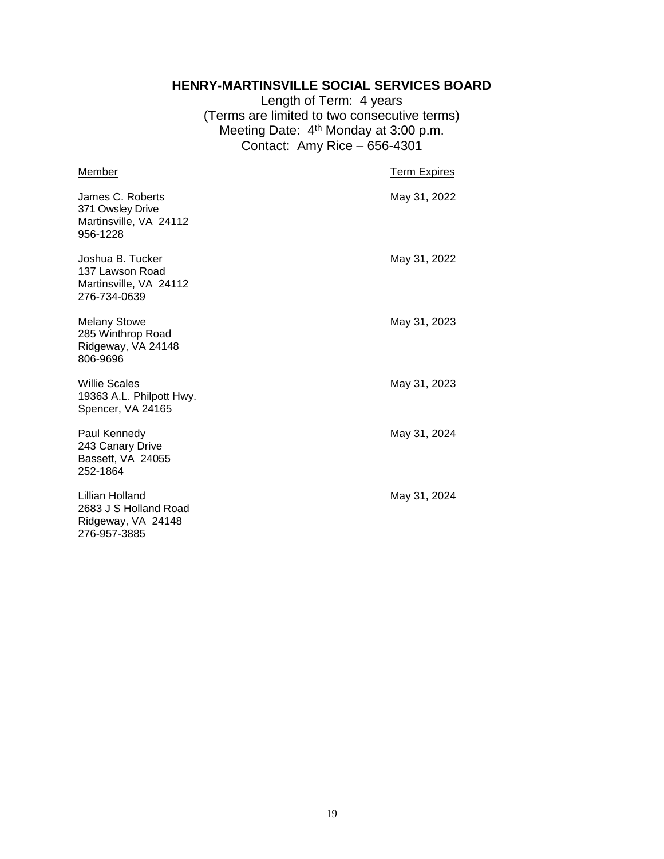#### **HENRY-MARTINSVILLE SOCIAL SERVICES BOARD**

Length of Term: 4 years (Terms are limited to two consecutive terms) Meeting Date: 4<sup>th</sup> Monday at 3:00 p.m. Contact: Amy Rice – 656-4301

<span id="page-18-0"></span>

| Member                                                                         | <b>Term Expires</b> |
|--------------------------------------------------------------------------------|---------------------|
| James C. Roberts<br>371 Owsley Drive<br>Martinsville, VA 24112<br>956-1228     | May 31, 2022        |
| Joshua B. Tucker<br>137 Lawson Road<br>Martinsville, VA 24112<br>276-734-0639  | May 31, 2022        |
| <b>Melany Stowe</b><br>285 Winthrop Road<br>Ridgeway, VA 24148<br>806-9696     | May 31, 2023        |
| <b>Willie Scales</b><br>19363 A.L. Philpott Hwy.<br>Spencer, VA 24165          | May 31, 2023        |
| Paul Kennedy<br>243 Canary Drive<br>Bassett, VA 24055<br>252-1864              | May 31, 2024        |
| Lillian Holland<br>2683 J S Holland Road<br>Ridgeway, VA 24148<br>276-957-3885 | May 31, 2024        |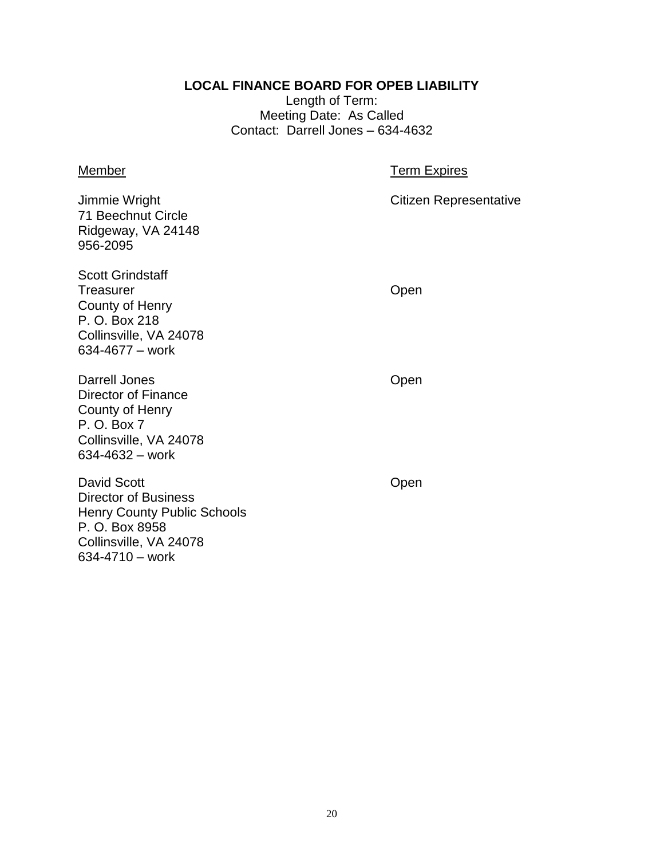#### **LOCAL FINANCE BOARD FOR OPEB LIABILITY**

Length of Term: Meeting Date: As Called Contact: Darrell Jones – 634-4632

## <span id="page-19-0"></span>Member **Member Term Expires** Jimmie Wright Citizen Representative 71 Beechnut Circle Ridgeway, VA 24148 956-2095 Scott Grindstaff Treasurer **Contract Contract Contract Contract Contract Contract Contract Contract Contract Contract Contract Contract Contract Contract Contract Contract Contract Contract Contract Contract Contract Contract Contract Cont** County of Henry P. O. Box 218 Collinsville, VA 24078 634-4677 – work Darrell Jones **Open** Director of Finance County of Henry P. O. Box 7 Collinsville, VA 24078 634-4632 – work David Scott **David Scott Open** Director of Business Henry County Public Schools P. O. Box 8958 Collinsville, VA 24078

634-4710 – work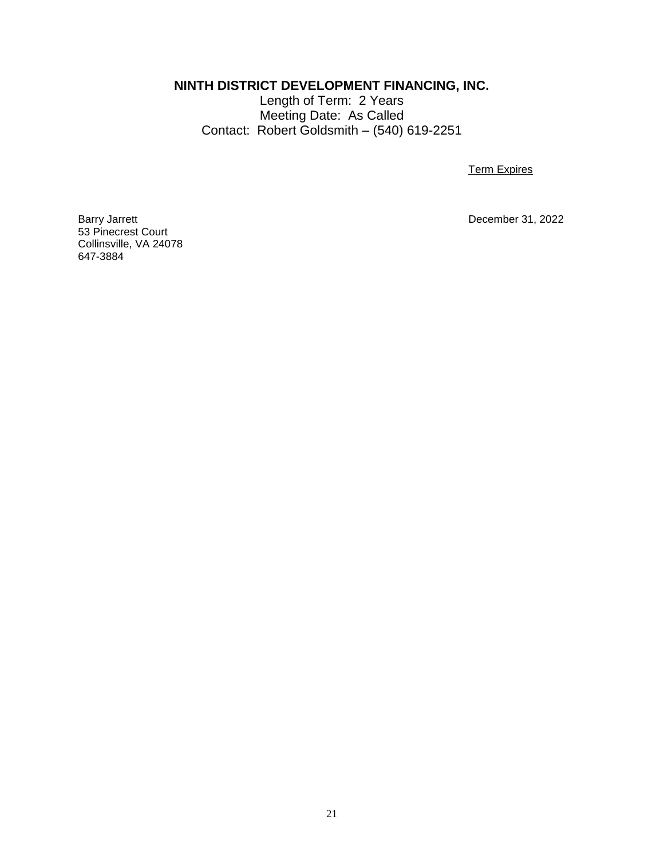<span id="page-20-0"></span>**NINTH DISTRICT DEVELOPMENT FINANCING, INC.**

Length of Term: 2 Years Meeting Date: As Called Contact: Robert Goldsmith – (540) 619-2251

**Term Expires** 

December 31, 2022

Barry Jarrett<br>53 Pinecrest Court Collinsville, VA 24078 647-3884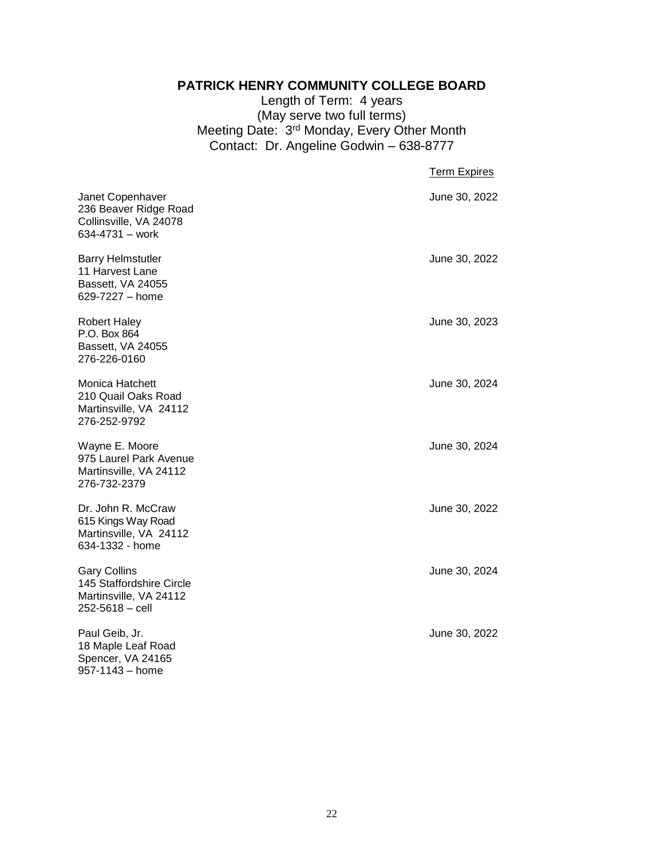#### **PATRICK HENRY COMMUNITY COLLEGE BOARD**

Length of Term: 4 years (May serve two full terms) Meeting Date: 3<sup>rd</sup> Monday, Every Other Month Contact: Dr. Angeline Godwin – 638-8777

<span id="page-21-0"></span>

|                                                                                              | <b>Term Expires</b> |
|----------------------------------------------------------------------------------------------|---------------------|
| Janet Copenhaver<br>236 Beaver Ridge Road<br>Collinsville, VA 24078<br>634-4731 - work       | June 30, 2022       |
| <b>Barry Helmstutler</b><br>11 Harvest Lane<br>Bassett, VA 24055<br>629-7227 - home          | June 30, 2022       |
| <b>Robert Haley</b><br>P.O. Box 864<br>Bassett, VA 24055<br>276-226-0160                     | June 30, 2023       |
| Monica Hatchett<br>210 Quail Oaks Road<br>Martinsville, VA 24112<br>276-252-9792             | June 30, 2024       |
| Wayne E. Moore<br>975 Laurel Park Avenue<br>Martinsville, VA 24112<br>276-732-2379           | June 30, 2024       |
| Dr. John R. McCraw<br>615 Kings Way Road<br>Martinsville, VA 24112<br>634-1332 - home        | June 30, 2022       |
| <b>Gary Collins</b><br>145 Staffordshire Circle<br>Martinsville, VA 24112<br>252-5618 - cell | June 30, 2024       |
| Paul Geib, Jr.<br>18 Maple Leaf Road<br>Spencer, VA 24165<br>957-1143 - home                 | June 30, 2022       |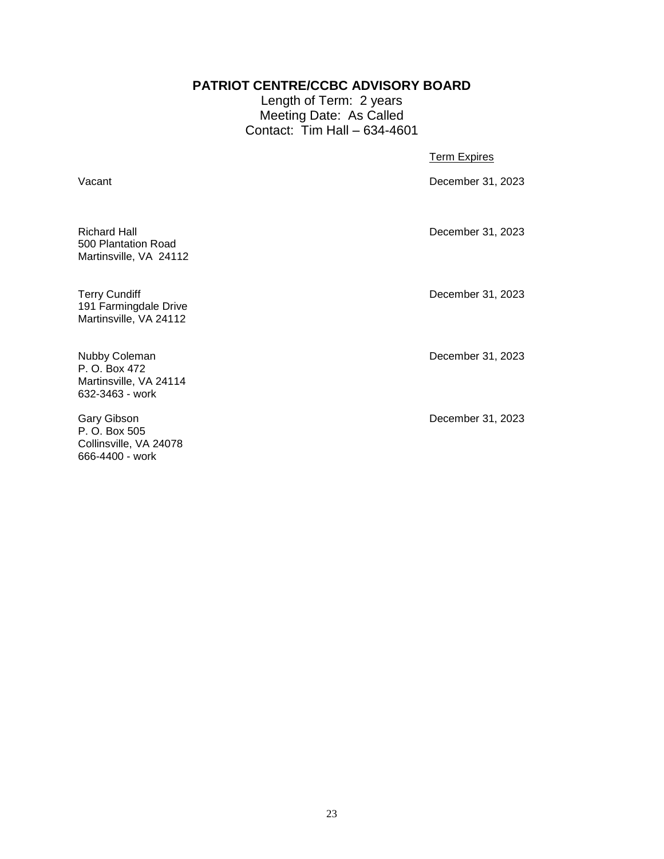#### **PATRIOT CENTRE/CCBC ADVISORY BOARD**

Length of Term: 2 years Meeting Date: As Called Contact: Tim Hall – 634-4601

<span id="page-22-0"></span>

| Vacant                                                                      | December 31, 2023 |
|-----------------------------------------------------------------------------|-------------------|
| <b>Richard Hall</b><br>500 Plantation Road<br>Martinsville, VA 24112        | December 31, 2023 |
| <b>Terry Cundiff</b><br>191 Farmingdale Drive<br>Martinsville, VA 24112     | December 31, 2023 |
| Nubby Coleman<br>P. O. Box 472<br>Martinsville, VA 24114<br>632-3463 - work | December 31, 2023 |

Gary Gibson December 31, 2023 P. O. Box 505 Collinsville, VA 24078 666-4400 - work

Martinsville, VA 24114 632-3463 - work

Term Expires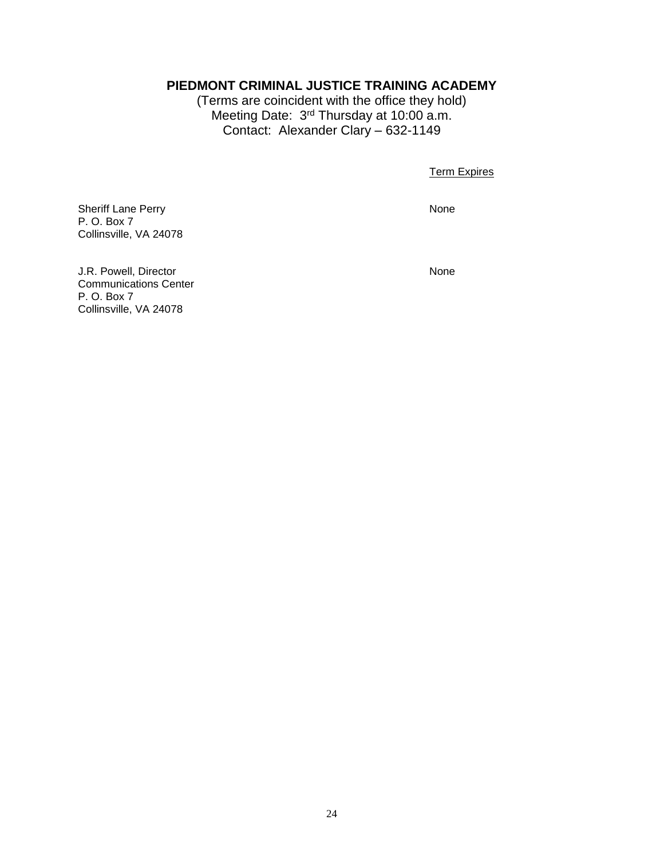#### <span id="page-23-0"></span>**PIEDMONT CRIMINAL JUSTICE TRAINING ACADEMY**

(Terms are coincident with the office they hold) Meeting Date: 3<sup>rd</sup> Thursday at 10:00 a.m. Contact: Alexander Clary – 632-1149

Term Expires

Sheriff Lane Perry None P. O. Box 7 Collinsville, VA 24078

J.R. Powell, Director None Communications Center P. O. Box 7 Collinsville, VA 24078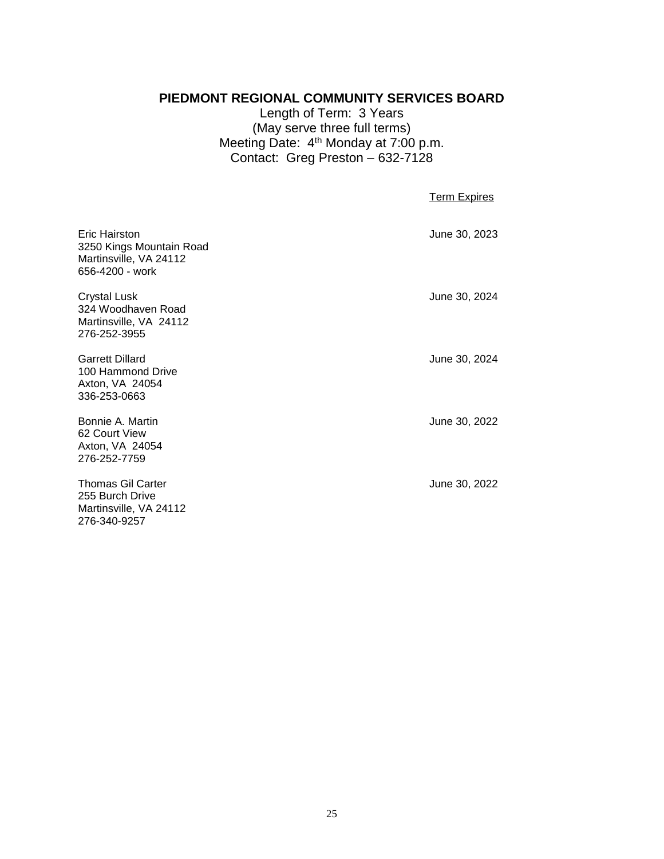## <span id="page-24-0"></span>**PIEDMONT REGIONAL COMMUNITY SERVICES BOARD**

Length of Term: 3 Years (May serve three full terms) Meeting Date:  $4<sup>th</sup>$  Monday at 7:00 p.m. Contact: Greg Preston – 632-7128

Term Expires

| Eric Hairston<br>3250 Kings Mountain Road<br>Martinsville, VA 24112<br>656-4200 - work | June 30, 2023 |
|----------------------------------------------------------------------------------------|---------------|
| <b>Crystal Lusk</b><br>324 Woodhaven Road<br>Martinsville, VA 24112<br>276-252-3955    | June 30, 2024 |
| <b>Garrett Dillard</b><br>100 Hammond Drive<br>Axton, VA 24054<br>336-253-0663         | June 30, 2024 |
| Bonnie A. Martin<br>62 Court View<br>Axton, VA 24054<br>276-252-7759                   | June 30, 2022 |
| <b>Thomas Gil Carter</b><br>255 Burch Drive<br>Martinsville, VA 24112<br>276-340-9257  | June 30, 2022 |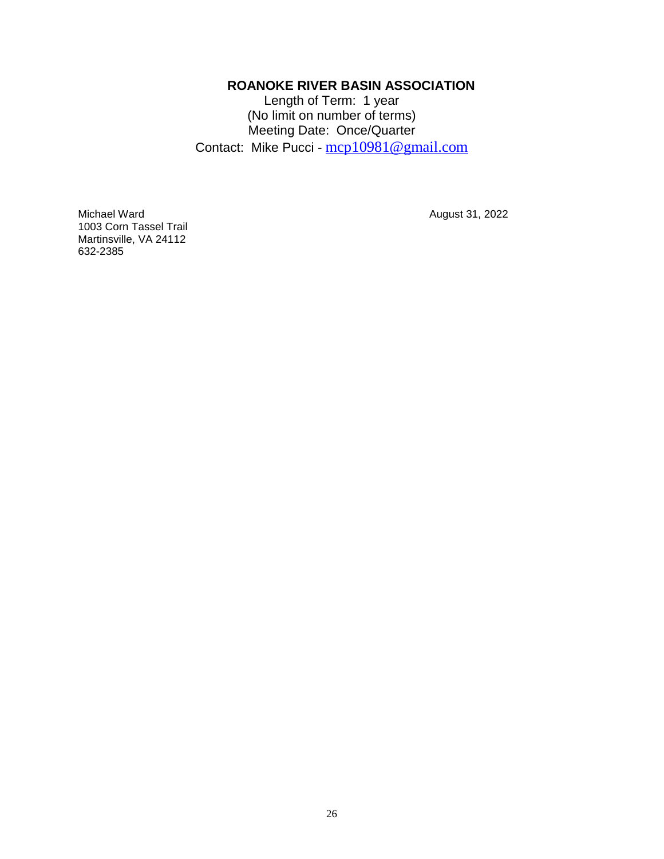#### **ROANOKE RIVER BASIN ASSOCIATION**

Length of Term: 1 year (No limit on number of terms) Meeting Date: Once/Quarter Contact: Mike Pucci - [mcp10981@gmail.com](mailto:mcp10981@gmail.com)

<span id="page-25-0"></span>Michael Ward **August 31, 2022** 1003 Corn Tassel Trail Martinsville, VA 24112 632-2385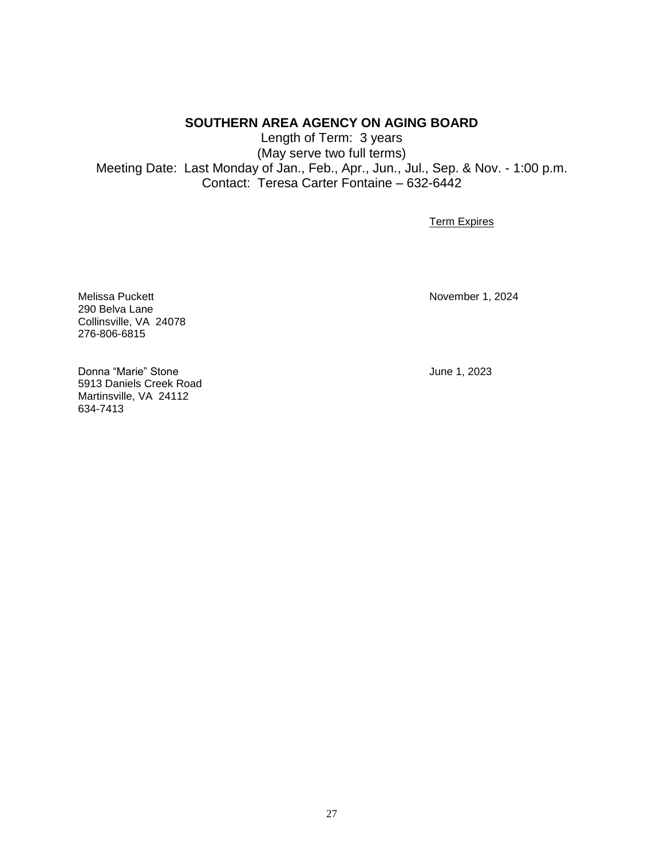#### **SOUTHERN AREA AGENCY ON AGING BOARD**

<span id="page-26-0"></span>Length of Term: 3 years (May serve two full terms) Meeting Date: Last Monday of Jan., Feb., Apr., Jun., Jul., Sep. & Nov. - 1:00 p.m. Contact: Teresa Carter Fontaine – 632-6442

**Term Expires** 

Melissa Puckett November 1, 2024 290 Belva Lane Collinsville, VA 24078 276-806-6815

Donna "Marie" Stone June 1, 2023 5913 Daniels Creek Road Martinsville, VA 24112 634-7413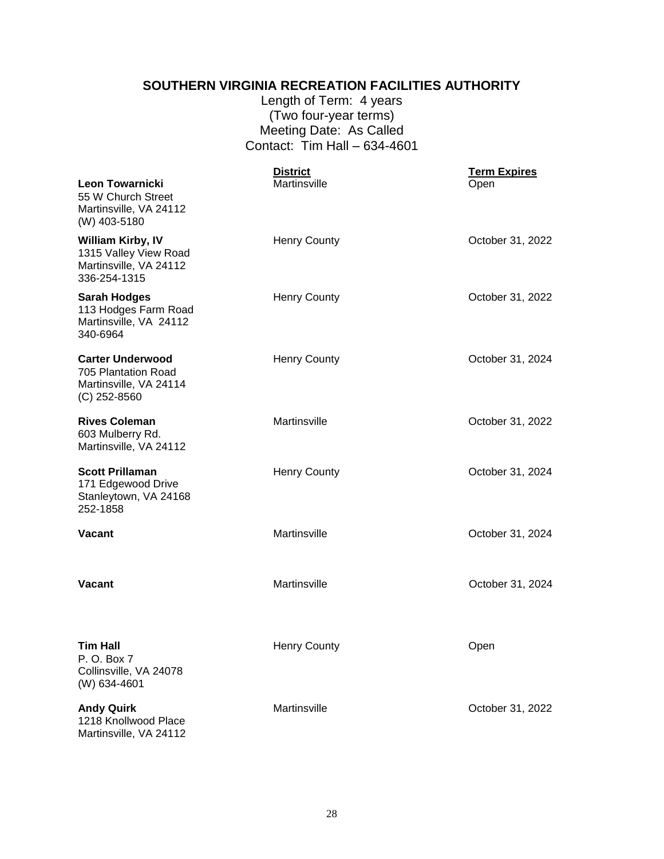#### **SOUTHERN VIRGINIA RECREATION FACILITIES AUTHORITY**

Length of Term: 4 years (Two four-year terms) Meeting Date: As Called Contact: Tim Hall – 634-4601

<span id="page-27-0"></span>

| Leon Towarnicki<br>55 W Church Street                                                       | <b>District</b><br>Martinsville | <b>Term Expires</b><br>Open |
|---------------------------------------------------------------------------------------------|---------------------------------|-----------------------------|
| Martinsville, VA 24112<br>(W) 403-5180                                                      |                                 |                             |
| <b>William Kirby, IV</b><br>1315 Valley View Road<br>Martinsville, VA 24112<br>336-254-1315 | <b>Henry County</b>             | October 31, 2022            |
| <b>Sarah Hodges</b><br>113 Hodges Farm Road<br>Martinsville, VA 24112<br>340-6964           | <b>Henry County</b>             | October 31, 2022            |
| <b>Carter Underwood</b><br>705 Plantation Road<br>Martinsville, VA 24114<br>$(C)$ 252-8560  | <b>Henry County</b>             | October 31, 2024            |
| <b>Rives Coleman</b><br>603 Mulberry Rd.<br>Martinsville, VA 24112                          | Martinsville                    | October 31, 2022            |
| <b>Scott Prillaman</b><br>171 Edgewood Drive<br>Stanleytown, VA 24168<br>252-1858           | <b>Henry County</b>             | October 31, 2024            |
| <b>Vacant</b>                                                                               | Martinsville                    | October 31, 2024            |
| <b>Vacant</b>                                                                               | Martinsville                    | October 31, 2024            |
| <b>Tim Hall</b><br>P. O. Box 7<br>Collinsville, VA 24078<br>(W) 634-4601                    | <b>Henry County</b>             | Open                        |
| <b>Andy Quirk</b><br>1218 Knollwood Place<br>Martinsville, VA 24112                         | Martinsville                    | October 31, 2022            |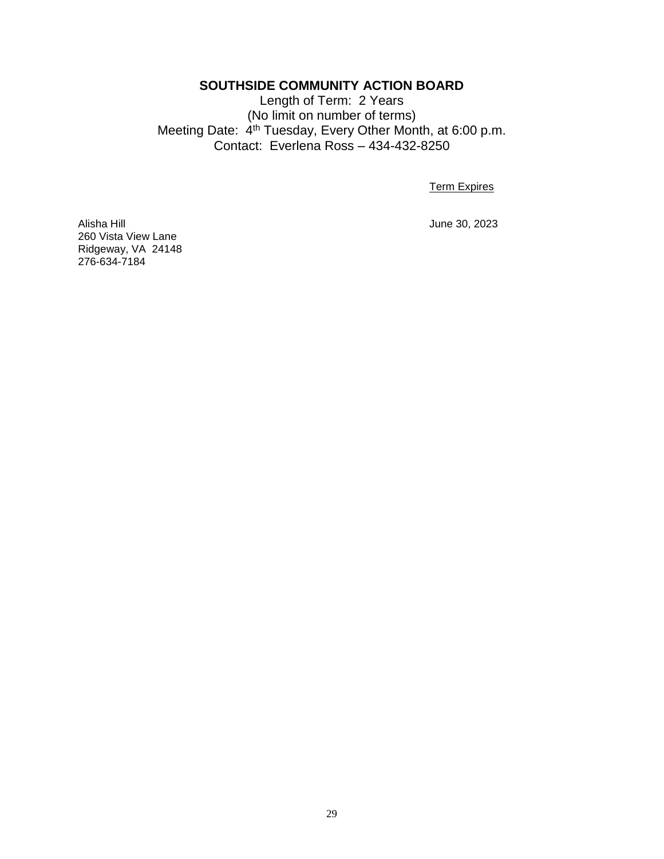#### **SOUTHSIDE COMMUNITY ACTION BOARD**

<span id="page-28-0"></span>Length of Term: 2 Years (No limit on number of terms) Meeting Date: 4<sup>th</sup> Tuesday, Every Other Month, at 6:00 p.m. Contact: Everlena Ross – 434-432-8250

Term Expires

Alisha Hill June 30, 2023 260 Vista View Lane Ridgeway, VA 24148 276-634-7184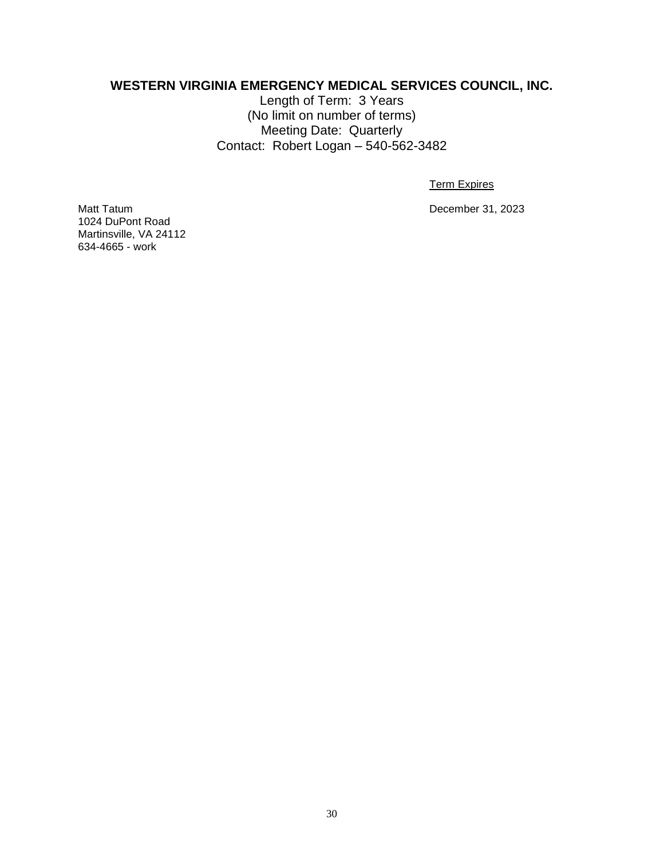#### <span id="page-29-0"></span>**WESTERN VIRGINIA EMERGENCY MEDICAL SERVICES COUNCIL, INC.**

Length of Term: 3 Years (No limit on number of terms) Meeting Date: Quarterly Contact: Robert Logan – 540-562-3482

Term Expires

Matt Tatum December 31, 2023

1024 DuPont Road Martinsville, VA 24112 634-4665 - work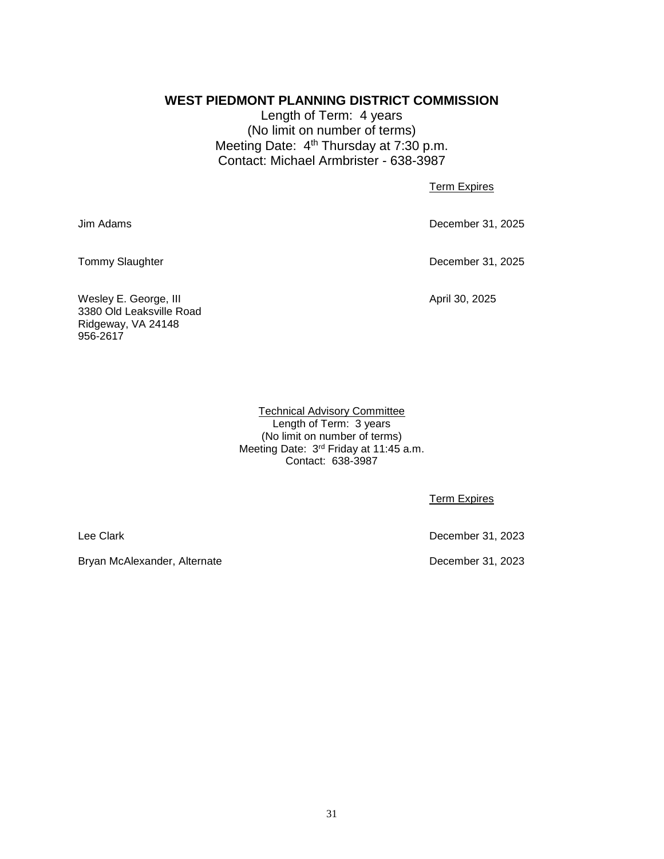#### <span id="page-30-0"></span>**WEST PIEDMONT PLANNING DISTRICT COMMISSION**

Length of Term: 4 years (No limit on number of terms) Meeting Date: 4<sup>th</sup> Thursday at 7:30 p.m. Contact: Michael Armbrister - 638-3987

**Term Expires** 

Jim Adams December 31, 2025

Tommy Slaughter **December 31, 2025** 

Wesley E. George, III April 30, 2025 3380 Old Leaksville Road Ridgeway, VA 24148 956-2617

Technical Advisory Committee Length of Term: 3 years (No limit on number of terms) Meeting Date: 3<sup>rd</sup> Friday at 11:45 a.m. Contact: 638-3987

Term Expires

Bryan McAlexander, Alternate December 31, 2023

Lee Clark December 31, 2023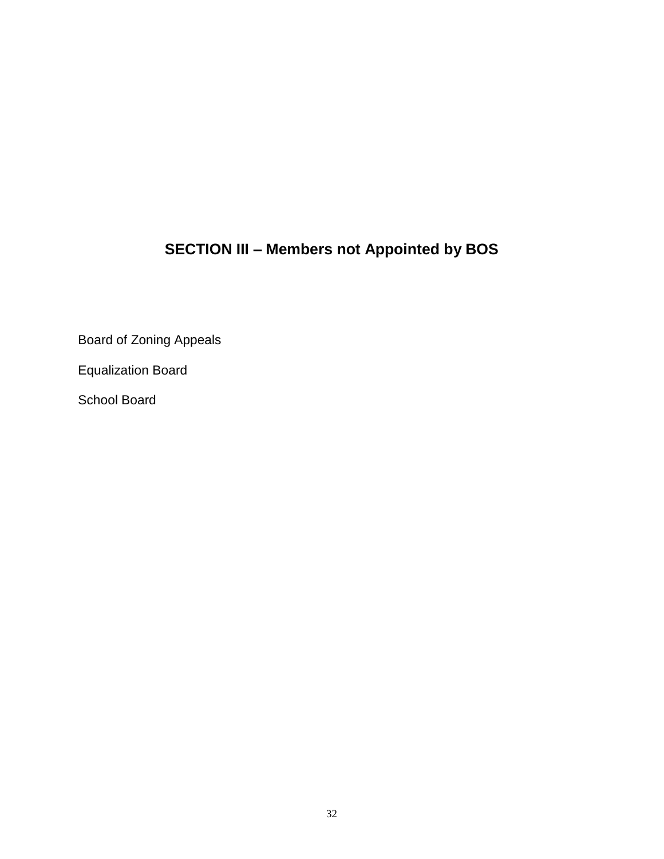# **SECTION III – Members not Appointed by BOS**

<span id="page-31-0"></span>Board of Zoning Appeals

Equalization Board

School Board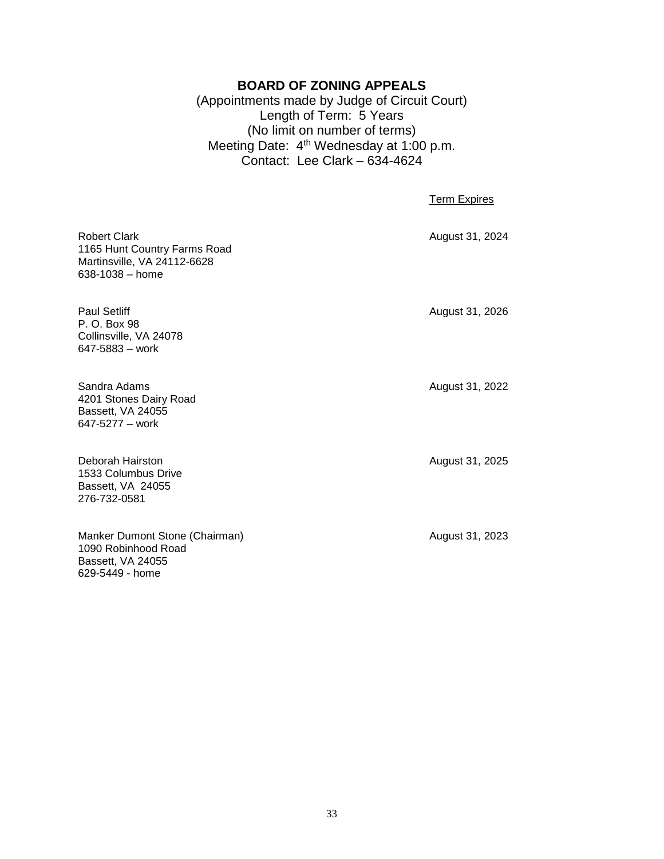#### **BOARD OF ZONING APPEALS**

(Appointments made by Judge of Circuit Court) Length of Term: 5 Years (No limit on number of terms) Meeting Date: 4<sup>th</sup> Wednesday at 1:00 p.m. Contact: Lee Clark – 634-4624

Term Expires

<span id="page-32-0"></span>Robert Clark **August 31, 2024** 1165 Hunt Country Farms Road Martinsville, VA 24112-6628 638-1038 – home Paul Setliff **August 31, 2026** Collinsville, VA 24078 647-5883 – work Sandra Adams **August 31, 2022** 4201 Stones Dairy Road Bassett, VA 24055 647-5277 – work Deborah Hairston **August 31, 2025** 1533 Columbus Drive Bassett, VA 24055 Manker Dumont Stone (Chairman) Manker Dumont Stone (Chairman) 1090 Robinhood Road

P. O. Box 98

276-732-0581

Bassett, VA 24055 629-5449 - home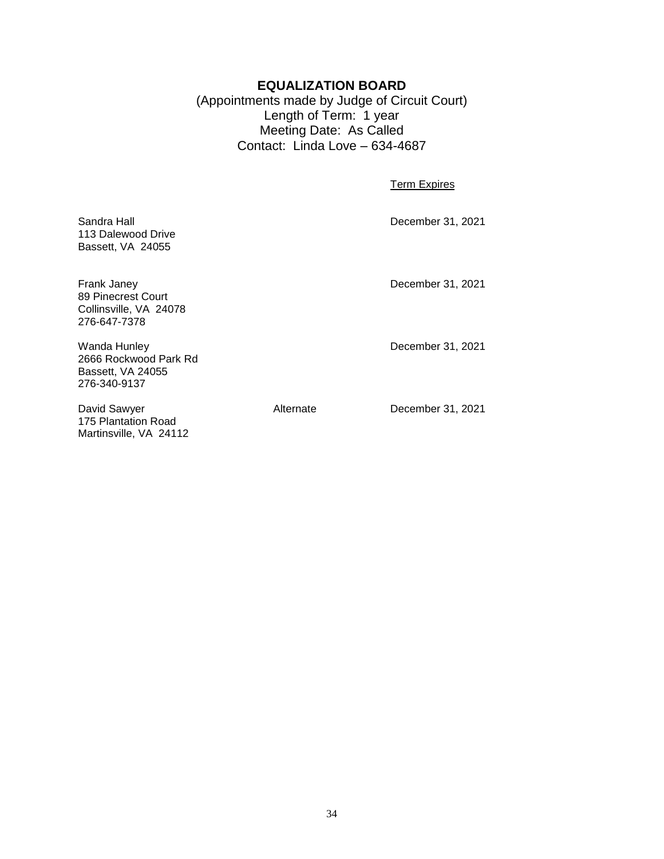#### **EQUALIZATION BOARD**

(Appointments made by Judge of Circuit Court) Length of Term: 1 year Meeting Date: As Called Contact: Linda Love – 634-4687

Term Expires

<span id="page-33-0"></span>

| Sandra Hall<br>113 Dalewood Drive<br>Bassett, VA 24055                      |           | December 31, 2021 |
|-----------------------------------------------------------------------------|-----------|-------------------|
| Frank Janey<br>89 Pinecrest Court<br>Collinsville, VA 24078<br>276-647-7378 |           | December 31, 2021 |
| Wanda Hunley<br>2666 Rockwood Park Rd<br>Bassett, VA 24055<br>276-340-9137  |           | December 31, 2021 |
| David Sawyer                                                                | Alternate | December 31, 2021 |

175 Plantation Road Martinsville, VA 24112

34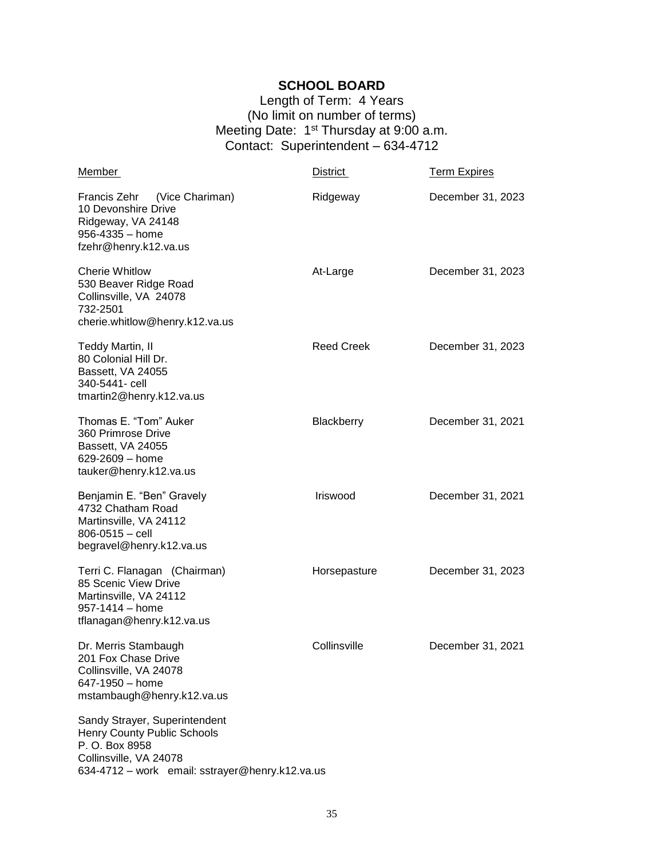#### **SCHOOL BOARD**

Length of Term: 4 Years (No limit on number of terms) Meeting Date: 1<sup>st</sup> Thursday at 9:00 a.m. Contact: Superintendent – 634-4712

<span id="page-34-0"></span>

| Member                                                                                                                                                             | District          | <b>Term Expires</b> |
|--------------------------------------------------------------------------------------------------------------------------------------------------------------------|-------------------|---------------------|
| Francis Zehr<br>(Vice Chariman)<br>10 Devonshire Drive<br>Ridgeway, VA 24148<br>956-4335 - home<br>fzehr@henry.k12.va.us                                           | Ridgeway          | December 31, 2023   |
| <b>Cherie Whitlow</b><br>530 Beaver Ridge Road<br>Collinsville, VA 24078<br>732-2501<br>cherie.whitlow@henry.k12.va.us                                             | At-Large          | December 31, 2023   |
| Teddy Martin, II<br>80 Colonial Hill Dr.<br>Bassett, VA 24055<br>340-5441- cell<br>tmartin2@henry.k12.va.us                                                        | <b>Reed Creek</b> | December 31, 2023   |
| Thomas E. "Tom" Auker<br>360 Primrose Drive<br>Bassett, VA 24055<br>629-2609 - home<br>tauker@henry.k12.va.us                                                      | Blackberry        | December 31, 2021   |
| Benjamin E. "Ben" Gravely<br>4732 Chatham Road<br>Martinsville, VA 24112<br>$806 - 0515 -$ cell<br>begravel@henry.k12.va.us                                        | Iriswood          | December 31, 2021   |
| Terri C. Flanagan (Chairman)<br>85 Scenic View Drive<br>Martinsville, VA 24112<br>$957 - 1414 - home$<br>tflanagan@henry.k12.va.us                                 | Horsepasture      | December 31, 2023   |
| Dr. Merris Stambaugh<br>201 Fox Chase Drive<br>Collinsville, VA 24078<br>647-1950 - home<br>mstambaugh@henry.k12.va.us                                             | Collinsville      | December 31, 2021   |
| Sandy Strayer, Superintendent<br><b>Henry County Public Schools</b><br>P. O. Box 8958<br>Collinsville, VA 24078<br>634-4712 - work email: sstrayer@henry.k12.va.us |                   |                     |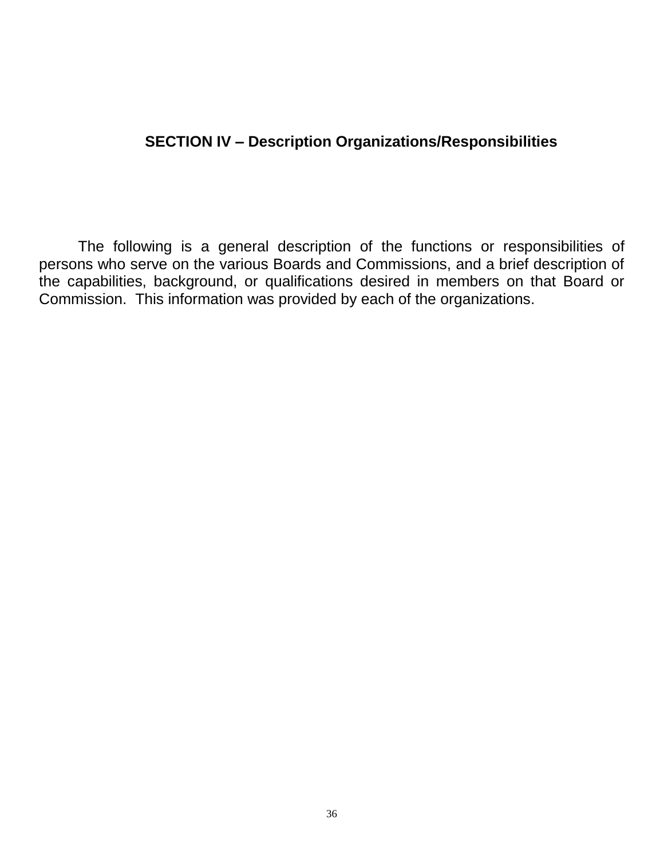## **SECTION IV – Description Organizations/Responsibilities**

<span id="page-35-0"></span>The following is a general description of the functions or responsibilities of persons who serve on the various Boards and Commissions, and a brief description of the capabilities, background, or qualifications desired in members on that Board or Commission. This information was provided by each of the organizations.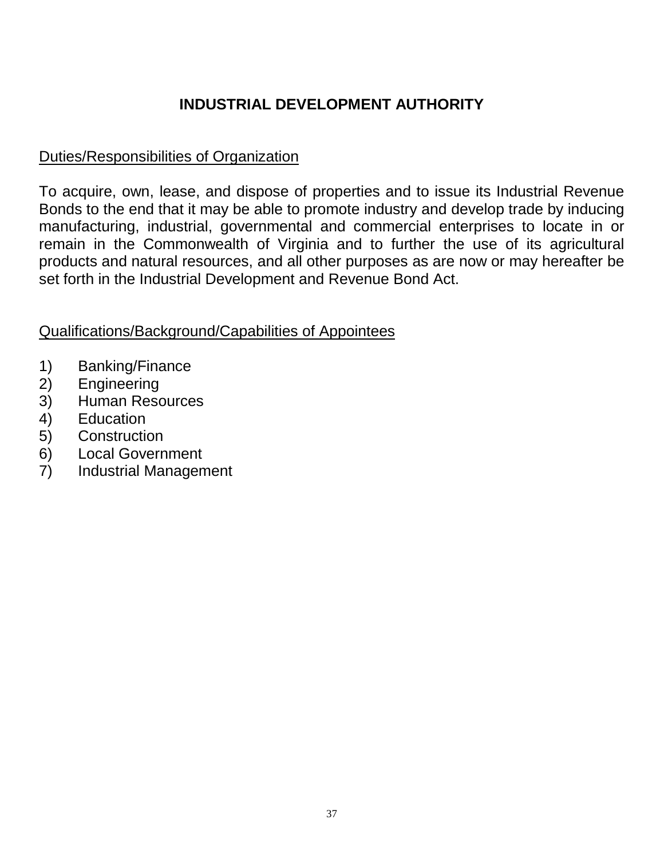# **INDUSTRIAL DEVELOPMENT AUTHORITY**

## <span id="page-36-0"></span>Duties/Responsibilities of Organization

To acquire, own, lease, and dispose of properties and to issue its Industrial Revenue Bonds to the end that it may be able to promote industry and develop trade by inducing manufacturing, industrial, governmental and commercial enterprises to locate in or remain in the Commonwealth of Virginia and to further the use of its agricultural products and natural resources, and all other purposes as are now or may hereafter be set forth in the Industrial Development and Revenue Bond Act.

- 1) Banking/Finance
- 2) Engineering
- 3) Human Resources
- 4) Education
- 5) Construction
- 6) Local Government
- 7) Industrial Management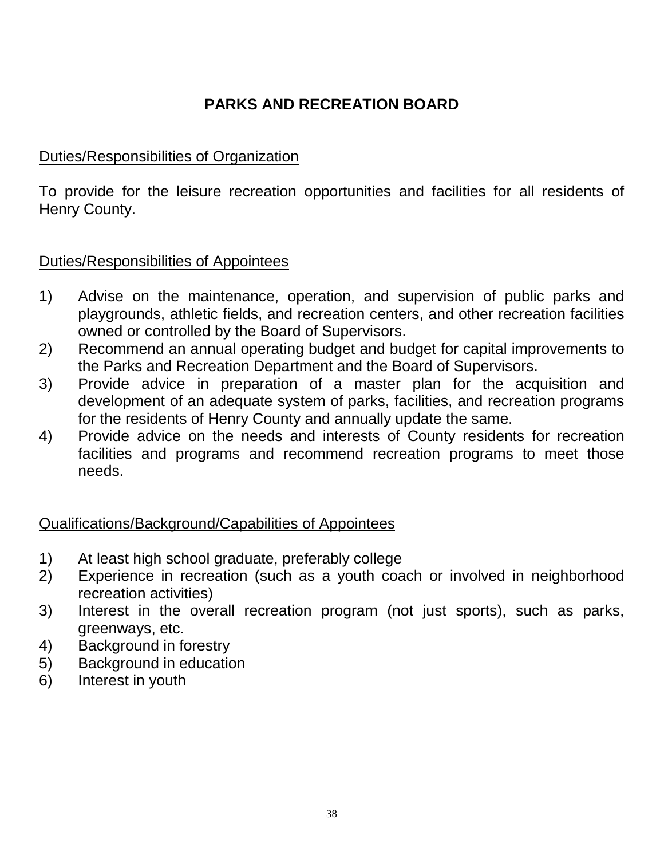# **PARKS AND RECREATION BOARD**

## <span id="page-37-0"></span>Duties/Responsibilities of Organization

To provide for the leisure recreation opportunities and facilities for all residents of Henry County.

## Duties/Responsibilities of Appointees

- 1) Advise on the maintenance, operation, and supervision of public parks and playgrounds, athletic fields, and recreation centers, and other recreation facilities owned or controlled by the Board of Supervisors.
- 2) Recommend an annual operating budget and budget for capital improvements to the Parks and Recreation Department and the Board of Supervisors.
- 3) Provide advice in preparation of a master plan for the acquisition and development of an adequate system of parks, facilities, and recreation programs for the residents of Henry County and annually update the same.
- 4) Provide advice on the needs and interests of County residents for recreation facilities and programs and recommend recreation programs to meet those needs.

- 1) At least high school graduate, preferably college
- 2) Experience in recreation (such as a youth coach or involved in neighborhood recreation activities)
- 3) Interest in the overall recreation program (not just sports), such as parks, greenways, etc.
- 4) Background in forestry
- 5) Background in education
- 6) Interest in youth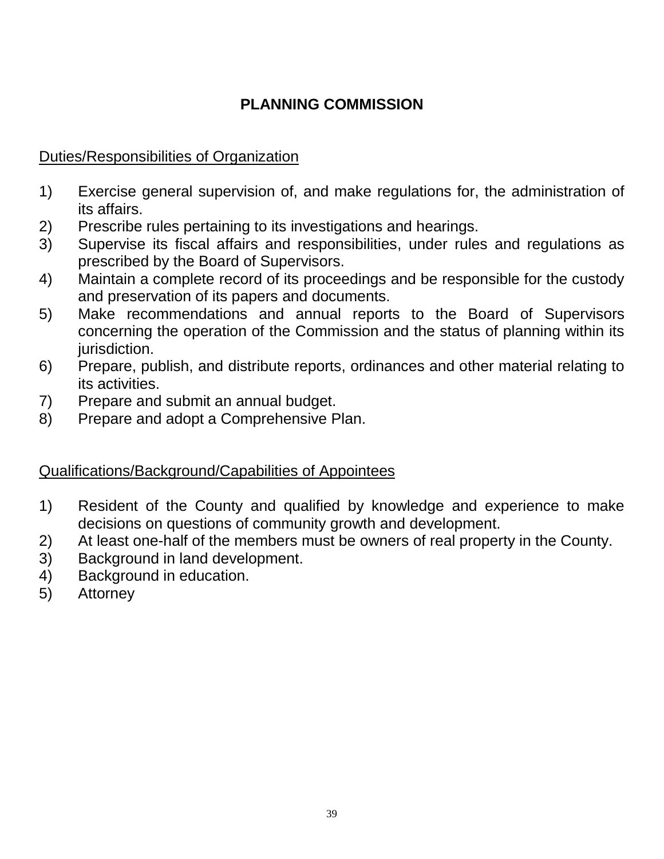# **PLANNING COMMISSION**

## <span id="page-38-0"></span>Duties/Responsibilities of Organization

- 1) Exercise general supervision of, and make regulations for, the administration of its affairs.
- 2) Prescribe rules pertaining to its investigations and hearings.
- 3) Supervise its fiscal affairs and responsibilities, under rules and regulations as prescribed by the Board of Supervisors.
- 4) Maintain a complete record of its proceedings and be responsible for the custody and preservation of its papers and documents.
- 5) Make recommendations and annual reports to the Board of Supervisors concerning the operation of the Commission and the status of planning within its jurisdiction.
- 6) Prepare, publish, and distribute reports, ordinances and other material relating to its activities.
- 7) Prepare and submit an annual budget.
- 8) Prepare and adopt a Comprehensive Plan.

- 1) Resident of the County and qualified by knowledge and experience to make decisions on questions of community growth and development.
- 2) At least one-half of the members must be owners of real property in the County.
- 3) Background in land development.
- 4) Background in education.
- 5) Attorney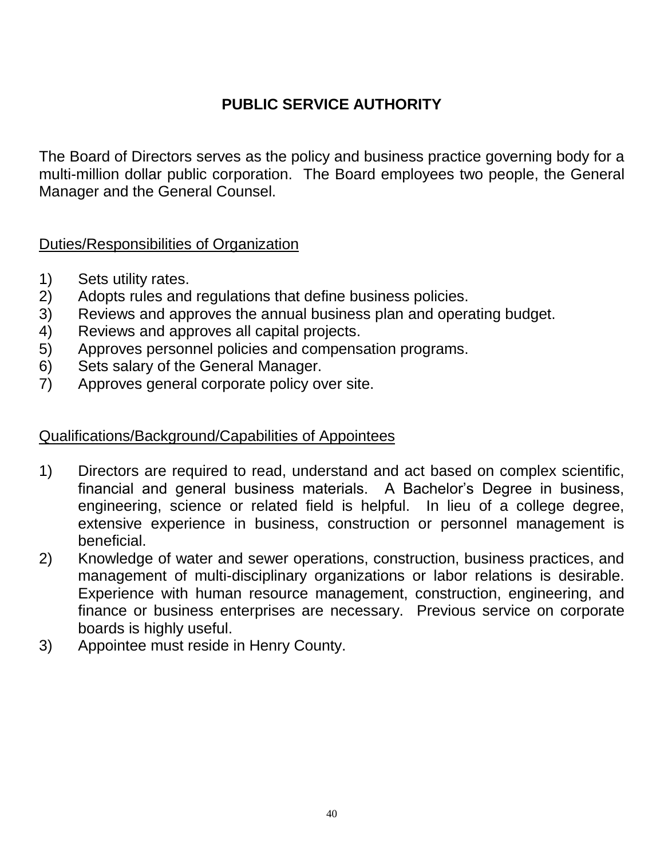# **PUBLIC SERVICE AUTHORITY**

<span id="page-39-0"></span>The Board of Directors serves as the policy and business practice governing body for a multi-million dollar public corporation. The Board employees two people, the General Manager and the General Counsel.

## Duties/Responsibilities of Organization

- 1) Sets utility rates.
- 2) Adopts rules and regulations that define business policies.
- 3) Reviews and approves the annual business plan and operating budget.
- 4) Reviews and approves all capital projects.
- 5) Approves personnel policies and compensation programs.
- 6) Sets salary of the General Manager.
- 7) Approves general corporate policy over site.

- 1) Directors are required to read, understand and act based on complex scientific, financial and general business materials. A Bachelor's Degree in business, engineering, science or related field is helpful. In lieu of a college degree, extensive experience in business, construction or personnel management is beneficial.
- 2) Knowledge of water and sewer operations, construction, business practices, and management of multi-disciplinary organizations or labor relations is desirable. Experience with human resource management, construction, engineering, and finance or business enterprises are necessary. Previous service on corporate boards is highly useful.
- 3) Appointee must reside in Henry County.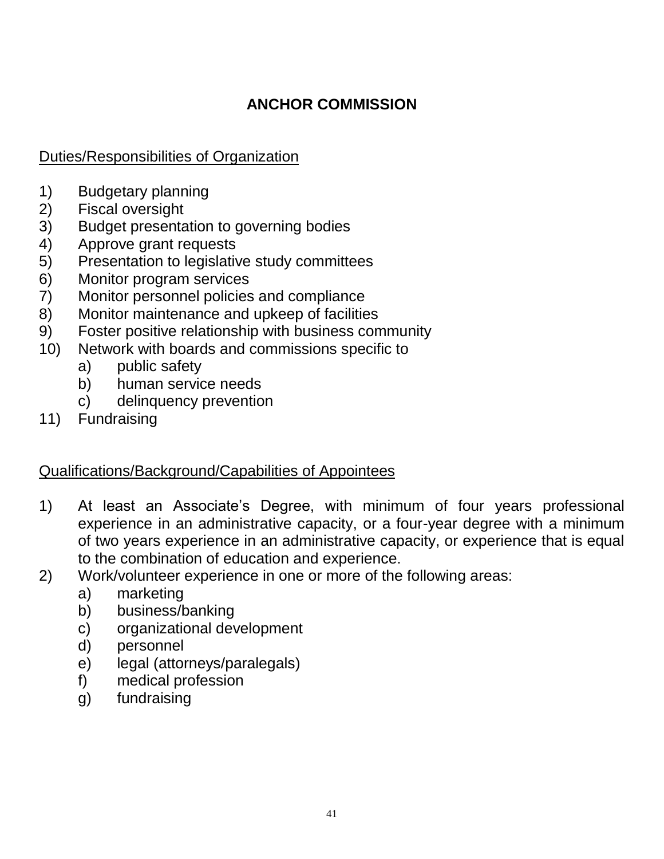# **ANCHOR COMMISSION**

# <span id="page-40-0"></span>Duties/Responsibilities of Organization

- 1) Budgetary planning
- 2) Fiscal oversight
- 3) Budget presentation to governing bodies
- 4) Approve grant requests
- 5) Presentation to legislative study committees
- 6) Monitor program services
- 7) Monitor personnel policies and compliance
- 8) Monitor maintenance and upkeep of facilities
- 9) Foster positive relationship with business community
- 10) Network with boards and commissions specific to
	- a) public safety
	- b) human service needs
	- c) delinquency prevention
- 11) Fundraising

- 1) At least an Associate's Degree, with minimum of four years professional experience in an administrative capacity, or a four-year degree with a minimum of two years experience in an administrative capacity, or experience that is equal to the combination of education and experience.
- 2) Work/volunteer experience in one or more of the following areas:
	- a) marketing
	- b) business/banking
	- c) organizational development
	- d) personnel
	- e) legal (attorneys/paralegals)
	- f) medical profession
	- g) fundraising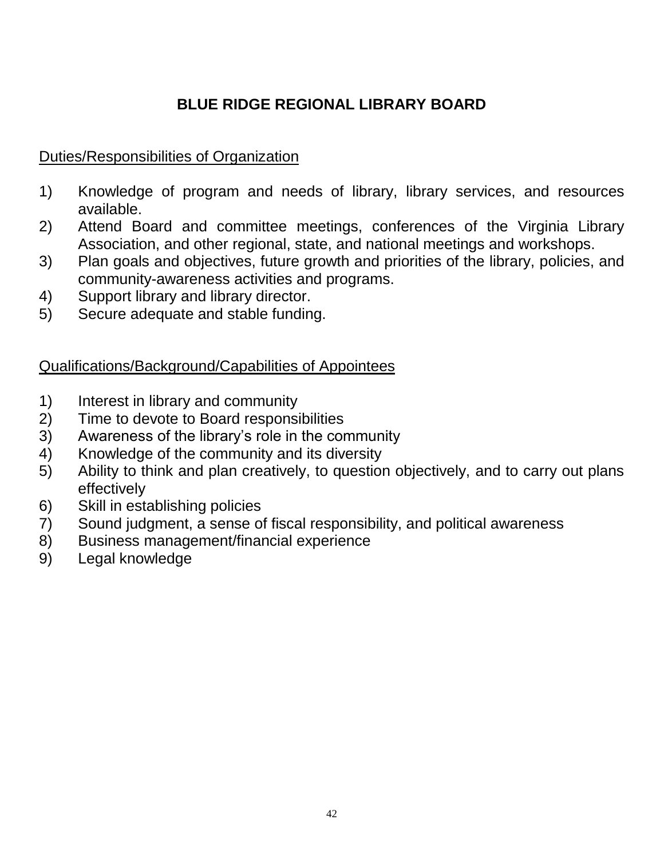# **BLUE RIDGE REGIONAL LIBRARY BOARD**

## <span id="page-41-0"></span>Duties/Responsibilities of Organization

- 1) Knowledge of program and needs of library, library services, and resources available.
- 2) Attend Board and committee meetings, conferences of the Virginia Library Association, and other regional, state, and national meetings and workshops.
- 3) Plan goals and objectives, future growth and priorities of the library, policies, and community-awareness activities and programs.
- 4) Support library and library director.
- 5) Secure adequate and stable funding.

- 1) Interest in library and community
- 2) Time to devote to Board responsibilities
- 3) Awareness of the library's role in the community
- 4) Knowledge of the community and its diversity
- 5) Ability to think and plan creatively, to question objectively, and to carry out plans effectively
- 6) Skill in establishing policies
- 7) Sound judgment, a sense of fiscal responsibility, and political awareness
- 8) Business management/financial experience
- 9) Legal knowledge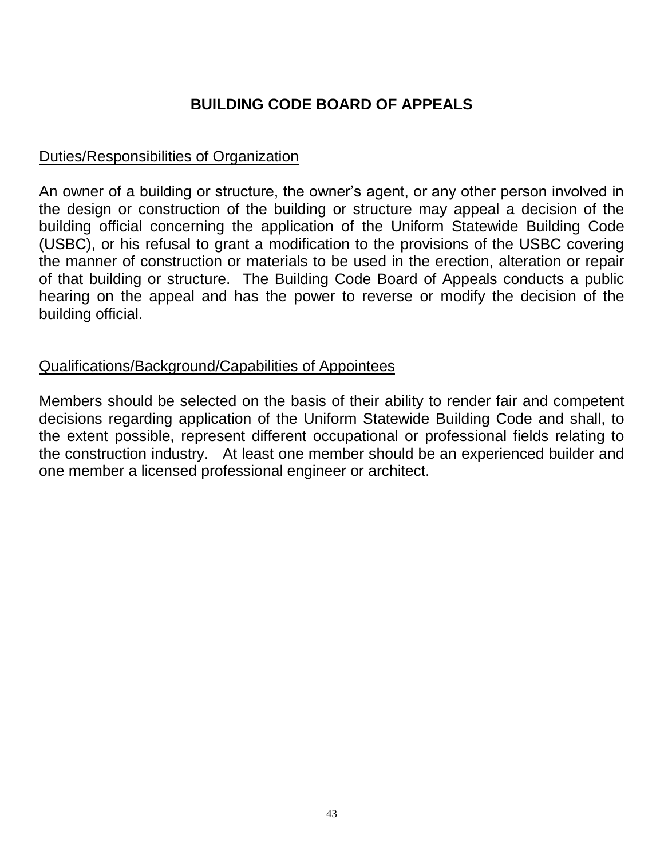# **BUILDING CODE BOARD OF APPEALS**

## <span id="page-42-0"></span>Duties/Responsibilities of Organization

An owner of a building or structure, the owner's agent, or any other person involved in the design or construction of the building or structure may appeal a decision of the building official concerning the application of the Uniform Statewide Building Code (USBC), or his refusal to grant a modification to the provisions of the USBC covering the manner of construction or materials to be used in the erection, alteration or repair of that building or structure. The Building Code Board of Appeals conducts a public hearing on the appeal and has the power to reverse or modify the decision of the building official.

#### Qualifications/Background/Capabilities of Appointees

Members should be selected on the basis of their ability to render fair and competent decisions regarding application of the Uniform Statewide Building Code and shall, to the extent possible, represent different occupational or professional fields relating to the construction industry. At least one member should be an experienced builder and one member a licensed professional engineer or architect.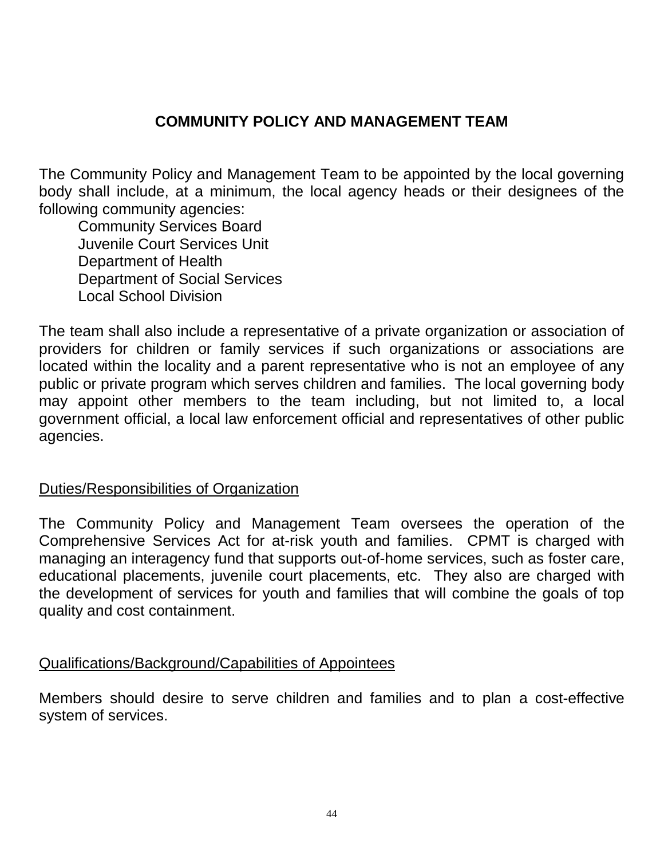## **COMMUNITY POLICY AND MANAGEMENT TEAM**

<span id="page-43-0"></span>The Community Policy and Management Team to be appointed by the local governing body shall include, at a minimum, the local agency heads or their designees of the following community agencies:

Community Services Board Juvenile Court Services Unit Department of Health Department of Social Services Local School Division

The team shall also include a representative of a private organization or association of providers for children or family services if such organizations or associations are located within the locality and a parent representative who is not an employee of any public or private program which serves children and families. The local governing body may appoint other members to the team including, but not limited to, a local government official, a local law enforcement official and representatives of other public agencies.

## Duties/Responsibilities of Organization

The Community Policy and Management Team oversees the operation of the Comprehensive Services Act for at-risk youth and families. CPMT is charged with managing an interagency fund that supports out-of-home services, such as foster care, educational placements, juvenile court placements, etc. They also are charged with the development of services for youth and families that will combine the goals of top quality and cost containment.

#### Qualifications/Background/Capabilities of Appointees

Members should desire to serve children and families and to plan a cost-effective system of services.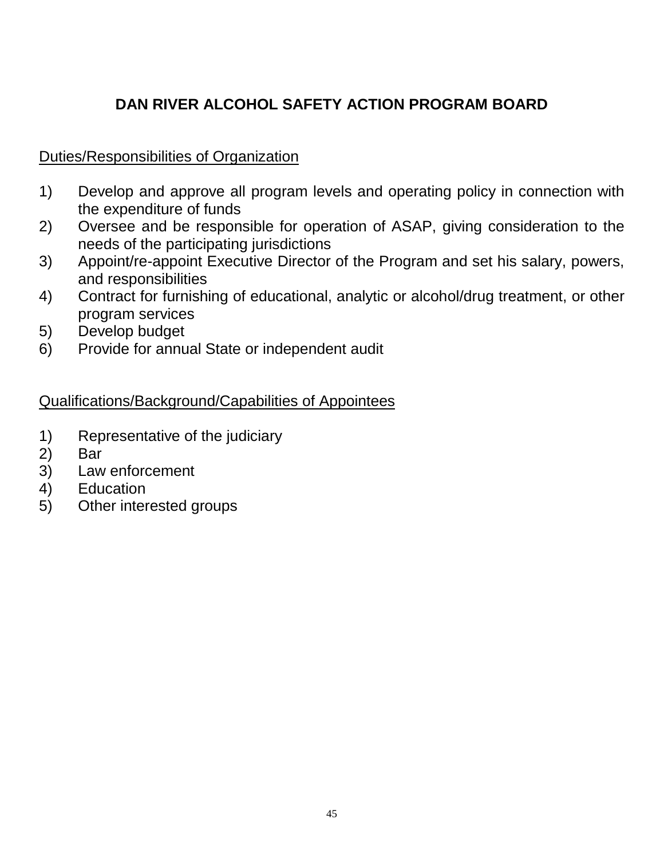# **DAN RIVER ALCOHOL SAFETY ACTION PROGRAM BOARD**

## <span id="page-44-0"></span>Duties/Responsibilities of Organization

- 1) Develop and approve all program levels and operating policy in connection with the expenditure of funds
- 2) Oversee and be responsible for operation of ASAP, giving consideration to the needs of the participating jurisdictions
- 3) Appoint/re-appoint Executive Director of the Program and set his salary, powers, and responsibilities
- 4) Contract for furnishing of educational, analytic or alcohol/drug treatment, or other program services
- 5) Develop budget
- 6) Provide for annual State or independent audit

- 1) Representative of the judiciary
- 2) Bar
- 3) Law enforcement
- 4) Education
- 5) Other interested groups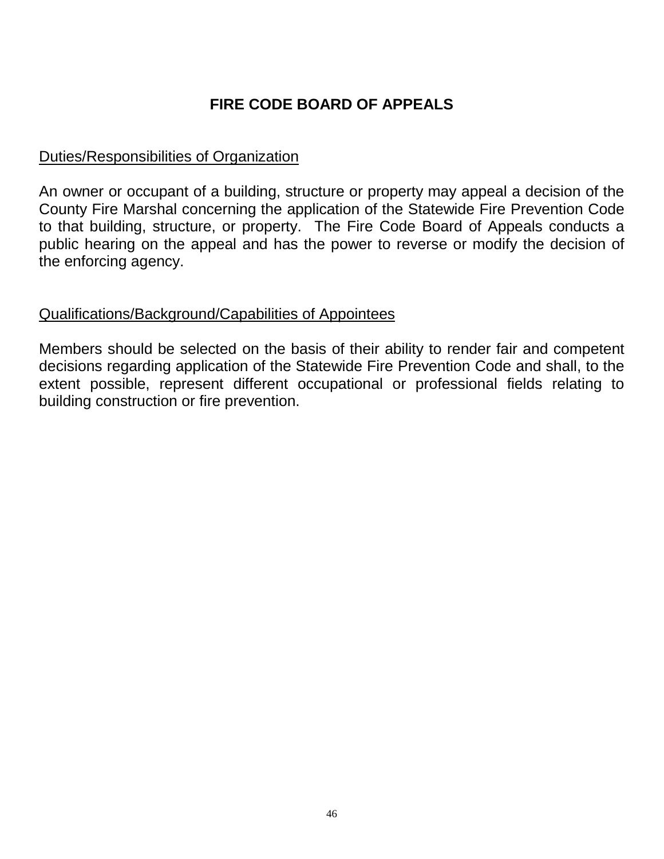# **FIRE CODE BOARD OF APPEALS**

## <span id="page-45-0"></span>Duties/Responsibilities of Organization

An owner or occupant of a building, structure or property may appeal a decision of the County Fire Marshal concerning the application of the Statewide Fire Prevention Code to that building, structure, or property. The Fire Code Board of Appeals conducts a public hearing on the appeal and has the power to reverse or modify the decision of the enforcing agency.

#### Qualifications/Background/Capabilities of Appointees

Members should be selected on the basis of their ability to render fair and competent decisions regarding application of the Statewide Fire Prevention Code and shall, to the extent possible, represent different occupational or professional fields relating to building construction or fire prevention.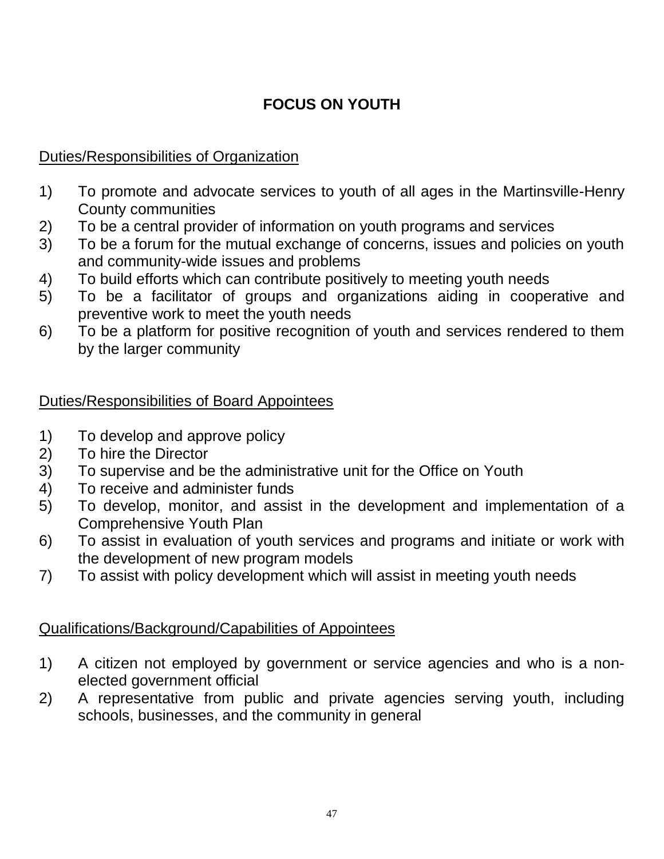# **FOCUS ON YOUTH**

## <span id="page-46-0"></span>Duties/Responsibilities of Organization

- 1) To promote and advocate services to youth of all ages in the Martinsville-Henry County communities
- 2) To be a central provider of information on youth programs and services
- 3) To be a forum for the mutual exchange of concerns, issues and policies on youth and community-wide issues and problems
- 4) To build efforts which can contribute positively to meeting youth needs
- 5) To be a facilitator of groups and organizations aiding in cooperative and preventive work to meet the youth needs
- 6) To be a platform for positive recognition of youth and services rendered to them by the larger community

## Duties/Responsibilities of Board Appointees

- 1) To develop and approve policy
- 2) To hire the Director
- 3) To supervise and be the administrative unit for the Office on Youth
- 4) To receive and administer funds
- 5) To develop, monitor, and assist in the development and implementation of a Comprehensive Youth Plan
- 6) To assist in evaluation of youth services and programs and initiate or work with the development of new program models
- 7) To assist with policy development which will assist in meeting youth needs

- 1) A citizen not employed by government or service agencies and who is a nonelected government official
- 2) A representative from public and private agencies serving youth, including schools, businesses, and the community in general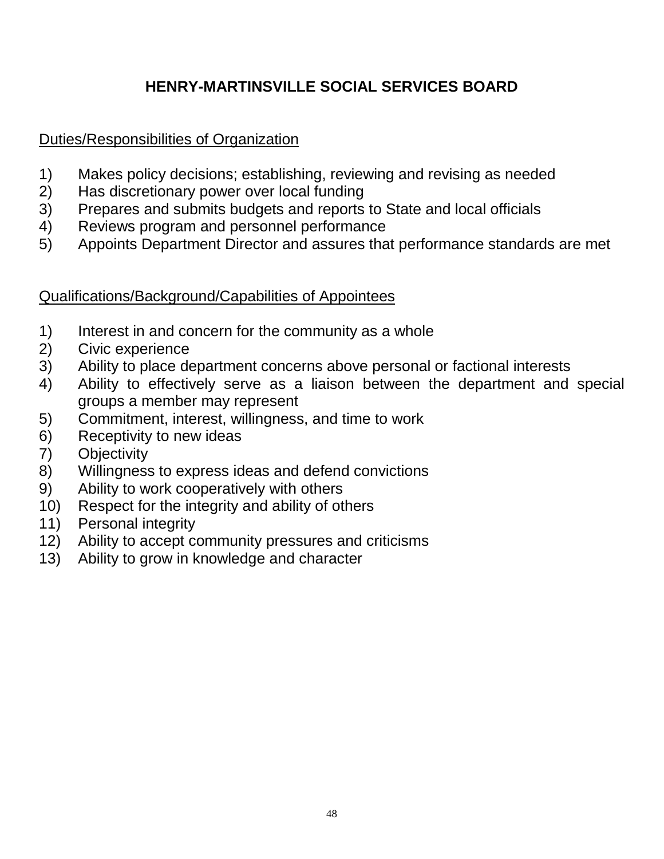# **HENRY-MARTINSVILLE SOCIAL SERVICES BOARD**

## <span id="page-47-0"></span>Duties/Responsibilities of Organization

- 1) Makes policy decisions; establishing, reviewing and revising as needed
- 2) Has discretionary power over local funding
- 3) Prepares and submits budgets and reports to State and local officials
- 4) Reviews program and personnel performance
- 5) Appoints Department Director and assures that performance standards are met

- 1) Interest in and concern for the community as a whole
- 2) Civic experience
- 3) Ability to place department concerns above personal or factional interests
- 4) Ability to effectively serve as a liaison between the department and special groups a member may represent
- 5) Commitment, interest, willingness, and time to work
- 6) Receptivity to new ideas
- 7) Objectivity
- 8) Willingness to express ideas and defend convictions
- 9) Ability to work cooperatively with others
- 10) Respect for the integrity and ability of others
- 11) Personal integrity
- 12) Ability to accept community pressures and criticisms
- 13) Ability to grow in knowledge and character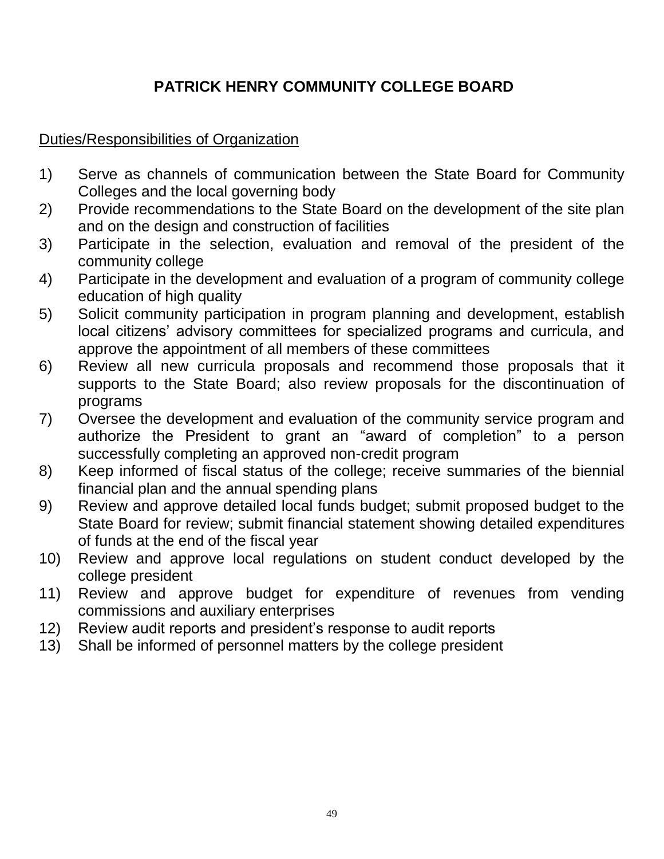# <span id="page-48-0"></span>**PATRICK HENRY COMMUNITY COLLEGE BOARD**

## Duties/Responsibilities of Organization

- 1) Serve as channels of communication between the State Board for Community Colleges and the local governing body
- 2) Provide recommendations to the State Board on the development of the site plan and on the design and construction of facilities
- 3) Participate in the selection, evaluation and removal of the president of the community college
- 4) Participate in the development and evaluation of a program of community college education of high quality
- 5) Solicit community participation in program planning and development, establish local citizens' advisory committees for specialized programs and curricula, and approve the appointment of all members of these committees
- 6) Review all new curricula proposals and recommend those proposals that it supports to the State Board; also review proposals for the discontinuation of programs
- 7) Oversee the development and evaluation of the community service program and authorize the President to grant an "award of completion" to a person successfully completing an approved non-credit program
- 8) Keep informed of fiscal status of the college; receive summaries of the biennial financial plan and the annual spending plans
- 9) Review and approve detailed local funds budget; submit proposed budget to the State Board for review; submit financial statement showing detailed expenditures of funds at the end of the fiscal year
- 10) Review and approve local regulations on student conduct developed by the college president
- 11) Review and approve budget for expenditure of revenues from vending commissions and auxiliary enterprises
- 12) Review audit reports and president's response to audit reports
- 13) Shall be informed of personnel matters by the college president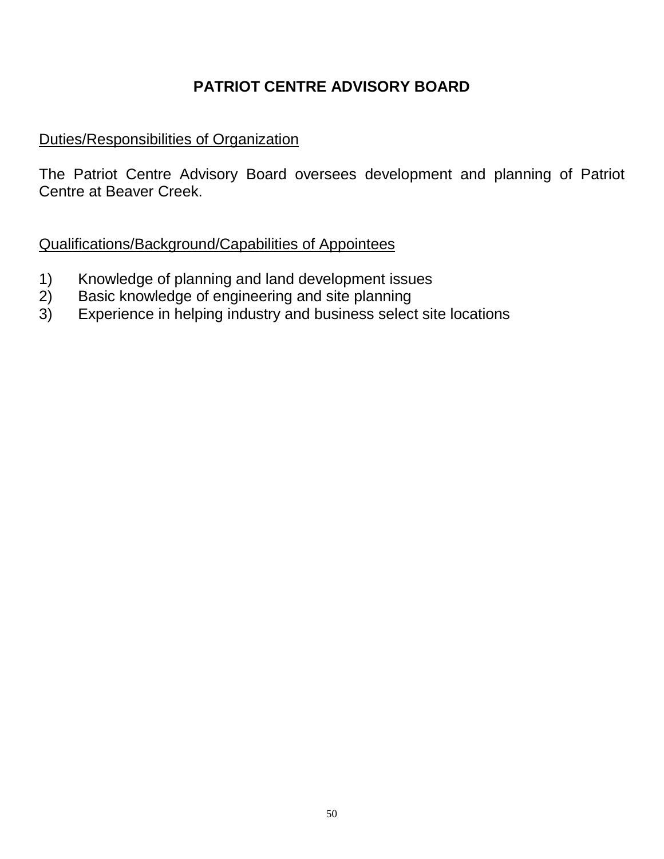# **PATRIOT CENTRE ADVISORY BOARD**

## <span id="page-49-0"></span>Duties/Responsibilities of Organization

The Patriot Centre Advisory Board oversees development and planning of Patriot Centre at Beaver Creek.

- 1) Knowledge of planning and land development issues
- 2) Basic knowledge of engineering and site planning
- 3) Experience in helping industry and business select site locations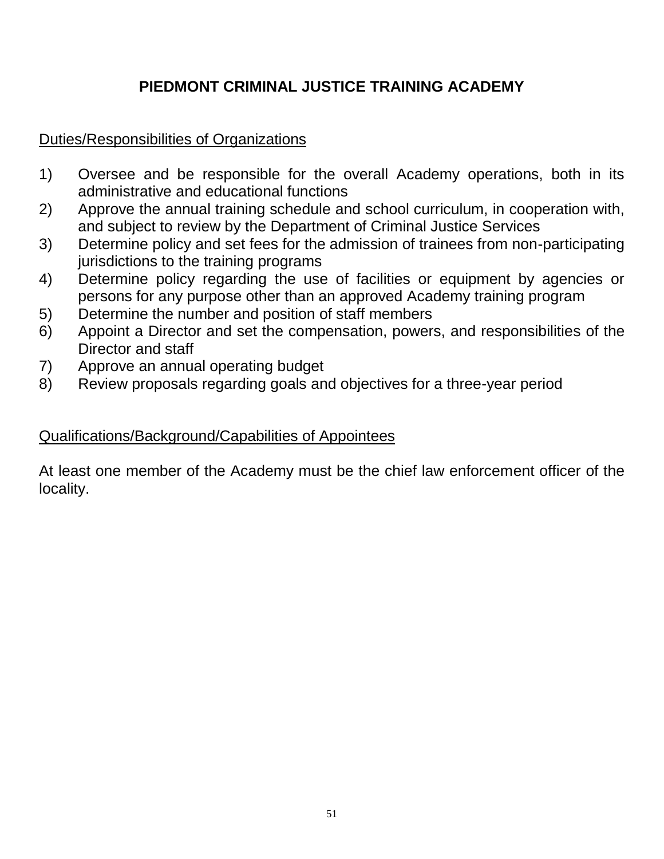# **PIEDMONT CRIMINAL JUSTICE TRAINING ACADEMY**

## <span id="page-50-0"></span>Duties/Responsibilities of Organizations

- 1) Oversee and be responsible for the overall Academy operations, both in its administrative and educational functions
- 2) Approve the annual training schedule and school curriculum, in cooperation with, and subject to review by the Department of Criminal Justice Services
- 3) Determine policy and set fees for the admission of trainees from non-participating jurisdictions to the training programs
- 4) Determine policy regarding the use of facilities or equipment by agencies or persons for any purpose other than an approved Academy training program
- 5) Determine the number and position of staff members
- 6) Appoint a Director and set the compensation, powers, and responsibilities of the Director and staff
- 7) Approve an annual operating budget
- 8) Review proposals regarding goals and objectives for a three-year period

## Qualifications/Background/Capabilities of Appointees

At least one member of the Academy must be the chief law enforcement officer of the locality.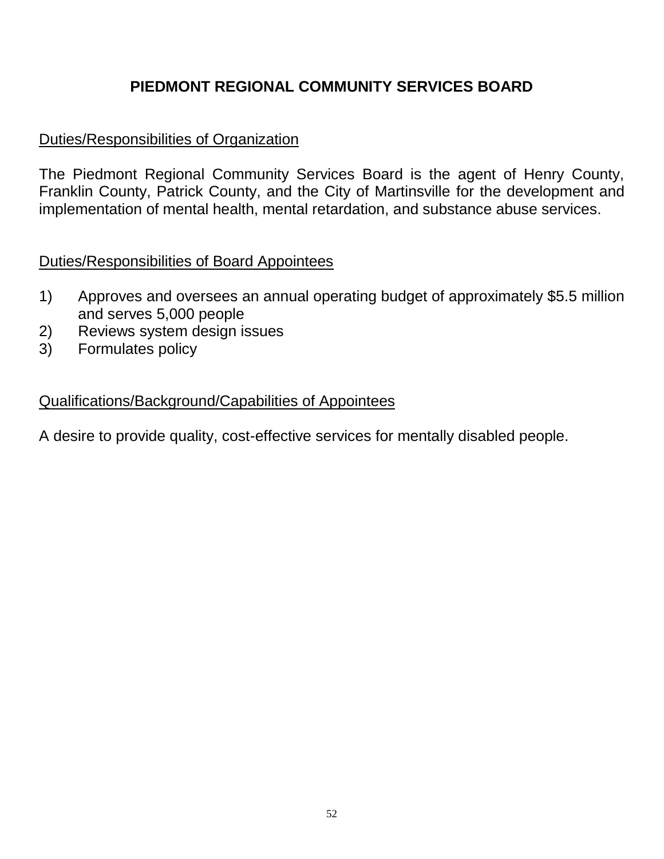## **PIEDMONT REGIONAL COMMUNITY SERVICES BOARD**

## <span id="page-51-0"></span>Duties/Responsibilities of Organization

The Piedmont Regional Community Services Board is the agent of Henry County, Franklin County, Patrick County, and the City of Martinsville for the development and implementation of mental health, mental retardation, and substance abuse services.

## Duties/Responsibilities of Board Appointees

- 1) Approves and oversees an annual operating budget of approximately \$5.5 million and serves 5,000 people
- 2) Reviews system design issues
- 3) Formulates policy

#### Qualifications/Background/Capabilities of Appointees

A desire to provide quality, cost-effective services for mentally disabled people.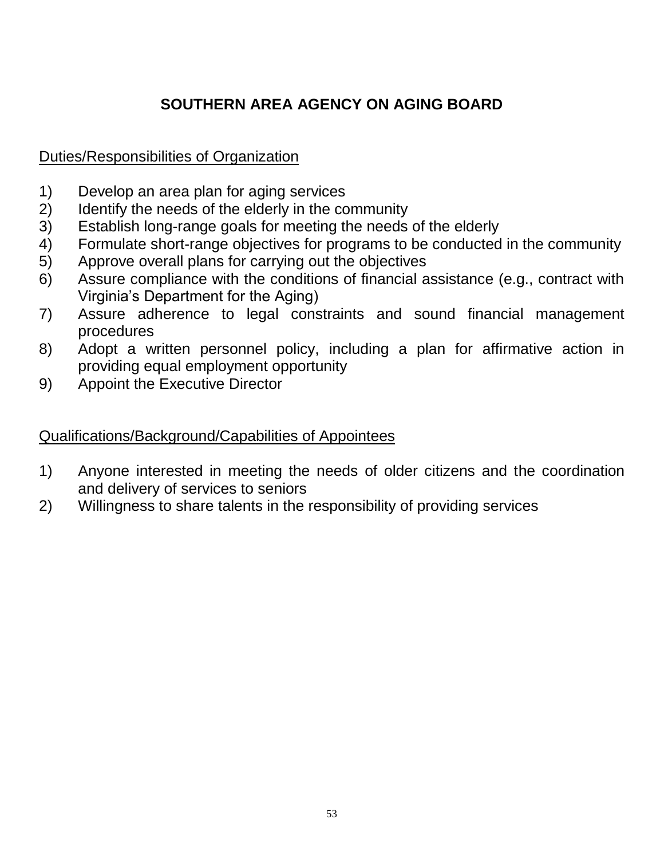# **SOUTHERN AREA AGENCY ON AGING BOARD**

## <span id="page-52-0"></span>Duties/Responsibilities of Organization

- 1) Develop an area plan for aging services
- 2) Identify the needs of the elderly in the community
- 3) Establish long-range goals for meeting the needs of the elderly
- 4) Formulate short-range objectives for programs to be conducted in the community
- 5) Approve overall plans for carrying out the objectives
- 6) Assure compliance with the conditions of financial assistance (e.g., contract with Virginia's Department for the Aging)
- 7) Assure adherence to legal constraints and sound financial management procedures
- 8) Adopt a written personnel policy, including a plan for affirmative action in providing equal employment opportunity
- 9) Appoint the Executive Director

- 1) Anyone interested in meeting the needs of older citizens and the coordination and delivery of services to seniors
- 2) Willingness to share talents in the responsibility of providing services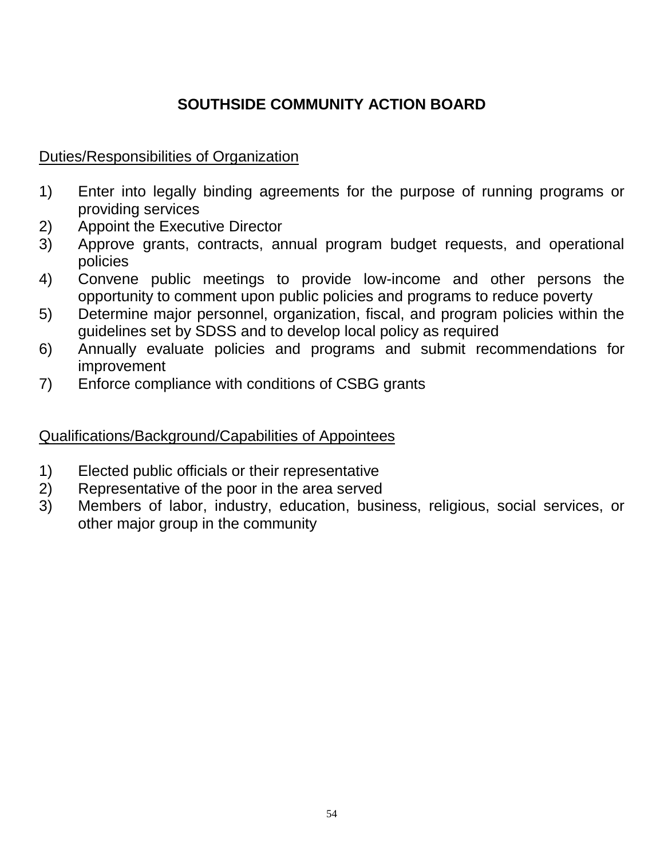# **SOUTHSIDE COMMUNITY ACTION BOARD**

## <span id="page-53-0"></span>Duties/Responsibilities of Organization

- 1) Enter into legally binding agreements for the purpose of running programs or providing services
- 2) Appoint the Executive Director
- 3) Approve grants, contracts, annual program budget requests, and operational policies
- 4) Convene public meetings to provide low-income and other persons the opportunity to comment upon public policies and programs to reduce poverty
- 5) Determine major personnel, organization, fiscal, and program policies within the guidelines set by SDSS and to develop local policy as required
- 6) Annually evaluate policies and programs and submit recommendations for improvement
- 7) Enforce compliance with conditions of CSBG grants

- 1) Elected public officials or their representative
- 2) Representative of the poor in the area served
- 3) Members of labor, industry, education, business, religious, social services, or other major group in the community